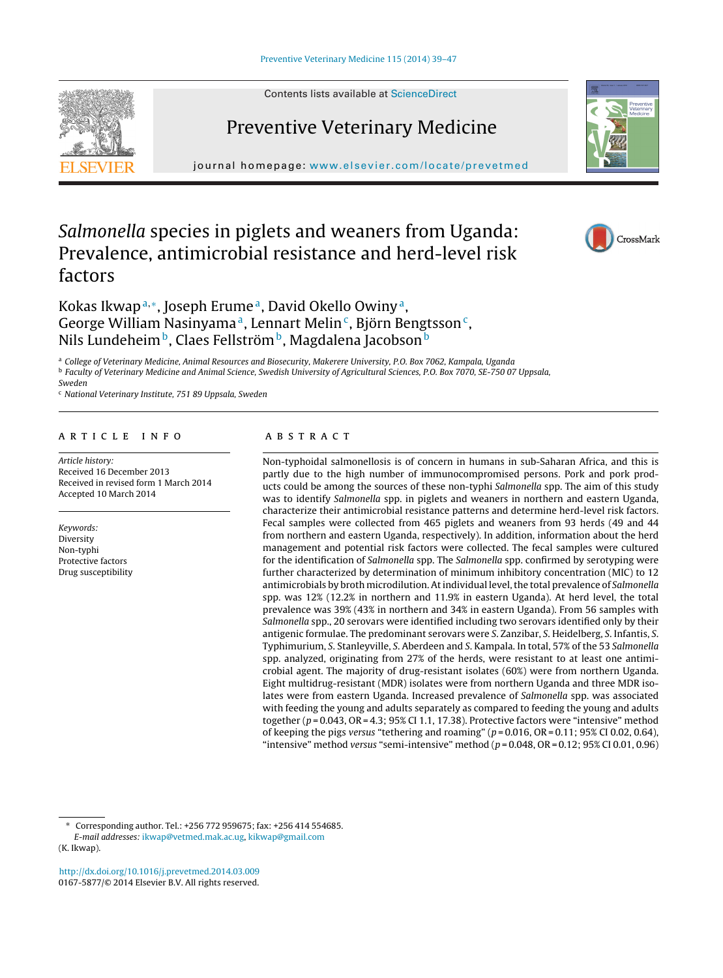Contents lists available at [ScienceDirect](http://www.sciencedirect.com/science/journal/01675877)

# Preventive Veterinary Medicine

journal homepage: [www.elsevier.com/locate/prevetmed](http://www.elsevier.com/locate/prevetmed)

## Salmonella species in piglets and weaners from Uganda: Prevalence, antimicrobial resistance and herd-level risk factors

## Kokas Ikwap<sup>a,∗</sup>, Joseph Erume<sup>a</sup>, David Okello Owiny<sup>a</sup>, George William Nasinyama<sup>a</sup>, Lennart Melin<sup>c</sup>, Björn Bengtsson<sup>c</sup>, Nils Lundeheim<sup>b</sup>, Claes Fellström<sup>b</sup>, Magdalena Jacobson<sup>b</sup>

<sup>a</sup> College of Veterinary Medicine, Animal Resources and Biosecurity, Makerere University, P.O. Box 7062, Kampala, Uganda <sup>b</sup> Faculty of Veterinary Medicine and Animal Science, Swedish University of Agricultural Sciences, P.O. Box 7070, SE-750 07 Uppsala, Sweden

<sup>c</sup> National Veterinary Institute, 751 89 Uppsala, Sweden

## a r t i c l e i n f o

Article history: Received 16 December 2013 Received in revised form 1 March 2014 Accepted 10 March 2014

Keywords: Diversity Non-typhi Protective factors Drug susceptibility

#### A B S T R A C T

Non-typhoidal salmonellosis is of concern in humans in sub-Saharan Africa, and this is partly due to the high number of immunocompromised persons. Pork and pork products could be among the sources of these non-typhi Salmonella spp. The aim of this study was to identify Salmonella spp. in piglets and weaners in northern and eastern Uganda, characterize their antimicrobial resistance patterns and determine herd-level risk factors. Fecal samples were collected from 465 piglets and weaners from 93 herds (49 and 44 from northern and eastern Uganda, respectively). In addition, information about the herd management and potential risk factors were collected. The fecal samples were cultured for the identification of Salmonella spp. The Salmonella spp. confirmed by serotyping were further characterized by determination of minimum inhibitory concentration (MIC) to 12 antimicrobials by broth microdilution. At individual level, the total prevalence of Salmonella spp. was 12% (12.2% in northern and 11.9% in eastern Uganda). At herd level, the total prevalence was 39% (43% in northern and 34% in eastern Uganda). From 56 samples with Salmonella spp., 20 serovars were identified including two serovars identified only by their antigenic formulae. The predominant serovars were S. Zanzibar, S. Heidelberg, S. Infantis, S. Typhimurium, S. Stanleyville, S. Aberdeen and S. Kampala. In total, 57% of the 53 Salmonella spp. analyzed, originating from 27% of the herds, were resistant to at least one antimicrobial agent. The majority of drug-resistant isolates (60%) were from northern Uganda. Eight multidrug-resistant (MDR) isolates were from northern Uganda and three MDR isolates were from eastern Uganda. Increased prevalence of Salmonella spp. was associated with feeding the young and adults separately as compared to feeding the young and adults together ( $p = 0.043$ ,  $OR = 4.3$ ; 95% CI 1.1, 17.38). Protective factors were "intensive" method of keeping the pigs versus "tethering and roaming" ( $p = 0.016$ , OR = 0.11; 95% CI 0.02, 0.64), "intensive" method versus "semi-intensive" method  $(p=0.048, \text{OR} = 0.12; 95\% \text{ CI } 0.01, 0.96)$ 

[http://dx.doi.org/10.1016/j.prevetmed.2014.03.009](dx.doi.org/10.1016/j.prevetmed.2014.03.009) 0167-5877/© 2014 Elsevier B.V. All rights reserved.







<sup>∗</sup> Corresponding author. Tel.: +256 772 959675; fax: +256 414 554685. E-mail addresses: [ikwap@vetmed.mak.ac.ug](mailto:ikwap@vetmed.mak.ac.ug), [kikwap@gmail.com](mailto:kikwap@gmail.com) (K. Ikwap).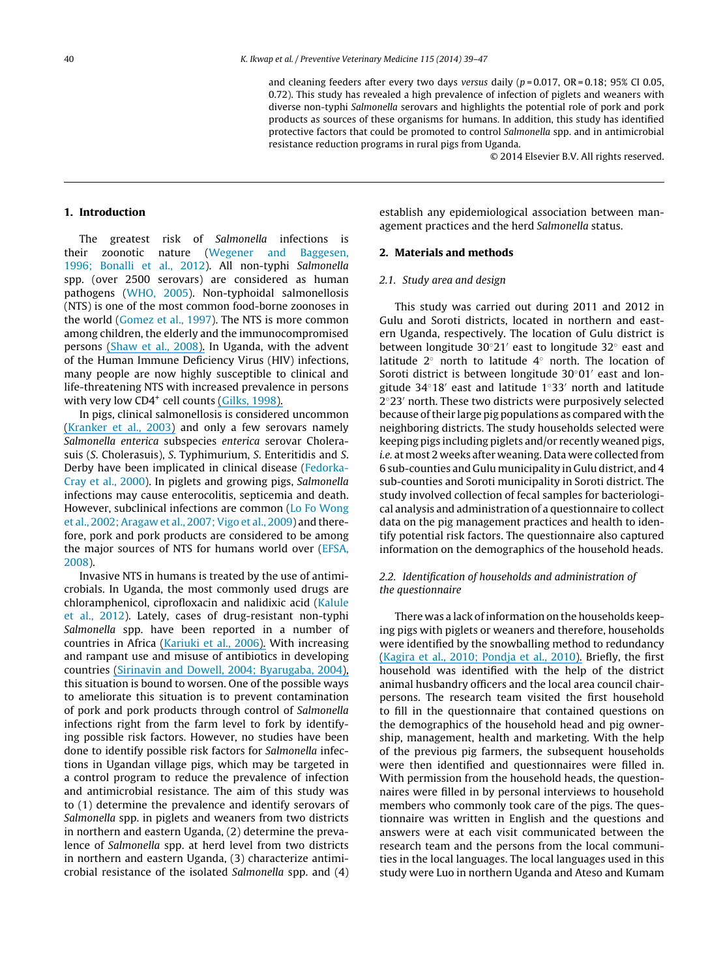and cleaning feeders after every two days versus daily ( $p = 0.017$ , OR = 0.18; 95% CI 0.05, 0.72). This study has revealed a high prevalence of infection of piglets and weaners with diverse non-typhi Salmonella serovars and highlights the potential role of pork and pork products as sources of these organisms for humans. In addition, this study has identified protective factors that could be promoted to control Salmonella spp. and in antimicrobial resistance reduction programs in rural pigs from Uganda.

© 2014 Elsevier B.V. All rights reserved.

#### **1. Introduction**

The greatest risk of Salmonella infections is their zoonotic nature ([Wegener](#page-8-0) [and](#page-8-0) [Baggesen,](#page-8-0) [1996;](#page-8-0) [Bonalli](#page-8-0) et [al.,](#page-8-0) [2012\).](#page-8-0) All non-typhi Salmonella spp. (over 2500 serovars) are considered as human pathogens ([WHO,](#page-8-0) [2005\).](#page-8-0) Non-typhoidal salmonellosis (NTS) is one of the most common food-borne zoonoses in the world [\(Gomez](#page-7-0) et [al.,](#page-7-0) [1997\).](#page-7-0) The NTS is more common among children, the elderly and the immunocompromised persons ([Shaw](#page-8-0) et [al.,](#page-8-0) [2008\).](https://www.researchgate.net/publication/267531037_Etiology_of_Community-Acquired_Bloodstream_Infections_in_Africa?el=1_x_8&enrichId=rgreq-1cdc88e1-2faf-41cb-b975-d13c6c1af4f1&enrichSource=Y292ZXJQYWdlOzI2NDE1NjgyMDtBUzoyMzg4MDE3NjczNjY2NThAMTQzMzk0NjE4NjcwNg==) In Uganda, with the advent of the Human Immune Deficiency Virus (HIV) infections, many people are now highly susceptible to clinical and life-threatening NTS with increased prevalence in persons with very low CD4<sup>+</sup> cell counts [\(Gilks,](https://www.researchgate.net/publication/13456964_Acute_bacterial_infections_and_HIV_disease?el=1_x_8&enrichId=rgreq-1cdc88e1-2faf-41cb-b975-d13c6c1af4f1&enrichSource=Y292ZXJQYWdlOzI2NDE1NjgyMDtBUzoyMzg4MDE3NjczNjY2NThAMTQzMzk0NjE4NjcwNg==) [1998\).](#page-7-0)

In pigs, clinical salmonellosis is considered uncommon [\(Kranker](https://www.researchgate.net/publication/10720782_Longitudinal_Study_of_Salmonella_enterica_Serotype_Typhimurium_Infection_in_Three_Danish_Farrow-to-Finish_Swine_Herds?el=1_x_8&enrichId=rgreq-1cdc88e1-2faf-41cb-b975-d13c6c1af4f1&enrichSource=Y292ZXJQYWdlOzI2NDE1NjgyMDtBUzoyMzg4MDE3NjczNjY2NThAMTQzMzk0NjE4NjcwNg==) et [al.,](#page-7-0) [2003\)](#page-7-0) and only a few serovars namely Salmonella enterica subspecies enterica serovar Cholerasuis (S. Cholerasuis), S. Typhimurium, S. Enteritidis and S. Derby have been implicated in clinical disease ([Fedorka-](#page-7-0)Cray et [al.,](#page-7-0) [2000\).](#page-7-0) In piglets and growing pigs, Salmonella infections may cause enterocolitis, septicemia and death. However, subclinical infections are common ([Lo](#page-7-0) [Fo](#page-7-0) [Wong](#page-7-0) et [al.,](#page-7-0) [2002;Aragaw](#page-7-0) et [al.,](#page-7-0) [2007;Vigo](#page-7-0) et [al.,](#page-7-0) [2009\)](#page-7-0) and therefore, pork and pork products are considered to be among the major sources of NTS for humans world over ([EFSA,](#page-7-0) [2008\).](#page-7-0)

Invasive NTS in humans is treated by the use of antimicrobials. In Uganda, the most commonly used drugs are chloramphenicol, ciprofloxacin and nalidixic acid [\(Kalule](#page-7-0) et [al.,](#page-7-0) [2012\).](#page-7-0) Lately, cases of drug-resistant non-typhi Salmonella spp. have been reported in a number of countries in Africa [\(Kariuki](https://www.researchgate.net/publication/7193786_Invasive_multidrug-resistant_non-typhoidal_Salmonella_infections_in_Africa_Zoonotic_or_anthroponotic_transmission?el=1_x_8&enrichId=rgreq-1cdc88e1-2faf-41cb-b975-d13c6c1af4f1&enrichSource=Y292ZXJQYWdlOzI2NDE1NjgyMDtBUzoyMzg4MDE3NjczNjY2NThAMTQzMzk0NjE4NjcwNg==) et [al.,](#page-7-0) [2006\).](#page-7-0) With increasing and rampant use and misuse of antibiotics in developing countries ([Sirinavin](#page-8-0) [and](#page-8-0) [Dowell,](#page-8-0) [2004;](#page-8-0) [Byarugaba,](https://www.researchgate.net/publication/8422477_Antimicrobial_Resistance_in_Developing_Countries_and_Responsible_Risk_Factors?el=1_x_8&enrichId=rgreq-1cdc88e1-2faf-41cb-b975-d13c6c1af4f1&enrichSource=Y292ZXJQYWdlOzI2NDE1NjgyMDtBUzoyMzg4MDE3NjczNjY2NThAMTQzMzk0NjE4NjcwNg==) [2004\),](#page-8-0) this situation is bound to worsen. One of the possible ways to ameliorate this situation is to prevent contamination of pork and pork products through control of Salmonella infections right from the farm level to fork by identifying possible risk factors. However, no studies have been done to identify possible risk factors for Salmonella infections in Ugandan village pigs, which may be targeted in a control program to reduce the prevalence of infection and antimicrobial resistance. The aim of this study was to (1) determine the prevalence and identify serovars of Salmonella spp. in piglets and weaners from two districts in northern and eastern Uganda, (2) determine the prevalence of Salmonella spp. at herd level from two districts in northern and eastern Uganda, (3) characterize antimicrobial resistance of the isolated Salmonella spp. and (4) establish any epidemiological association between management practices and the herd Salmonella status.

## **2. Materials and methods**

#### 2.1. Study area and design

This study was carried out during 2011 and 2012 in Gulu and Soroti districts, located in northern and eastern Uganda, respectively. The location of Gulu district is between longitude 30°21′ east to longitude 32° east and latitude 2◦ north to latitude 4◦ north. The location of Soroti district is between longitude  $30°01'$  east and longitude 34°18' east and latitude 1°33' north and latitude 2°23' north. These two districts were purposively selected because oftheir large pig populations as compared with the neighboring districts. The study households selected were keeping pigs including piglets and/or recently weaned pigs, i.e. at most 2 weeks after weaning. Data were collected from 6 sub-counties and Gulu municipality in Gulu district, and 4 sub-counties and Soroti municipality in Soroti district. The study involved collection of fecal samples for bacteriological analysis and administration of a questionnaire to collect data on the pig management practices and health to identify potential risk factors. The questionnaire also captured information on the demographics of the household heads.

## 2.2. Identification of households and administration of the questionnaire

There was a lack of information on the households keeping pigs with piglets or weaners and therefore, households were identified by the snowballing method to redundancy [\(Kagira](https://www.researchgate.net/publication/41507368_Seroprevalence_of_Cysticercus_cellulosae_and_associated_risk_factors_in_free-range_pigs_in_Kenya?el=1_x_8&enrichId=rgreq-1cdc88e1-2faf-41cb-b975-d13c6c1af4f1&enrichSource=Y292ZXJQYWdlOzI2NDE1NjgyMDtBUzoyMzg4MDE3NjczNjY2NThAMTQzMzk0NjE4NjcwNg==) et [al.,](#page-7-0) [2010;](#page-7-0) [Pondja](#page-7-0) et [al.,](#page-7-0) [2010\).](#page-7-0) Briefly, the first household was identified with the help of the district animal husbandry officers and the local area council chairpersons. The research team visited the first household to fill in the questionnaire that contained questions on the demographics of the household head and pig ownership, management, health and marketing. With the help of the previous pig farmers, the subsequent households were then identified and questionnaires were filled in. With permission from the household heads, the questionnaires were filled in by personal interviews to household members who commonly took care of the pigs. The questionnaire was written in English and the questions and answers were at each visit communicated between the research team and the persons from the local communities in the local languages. The local languages used in this study were Luo in northern Uganda and Ateso and Kumam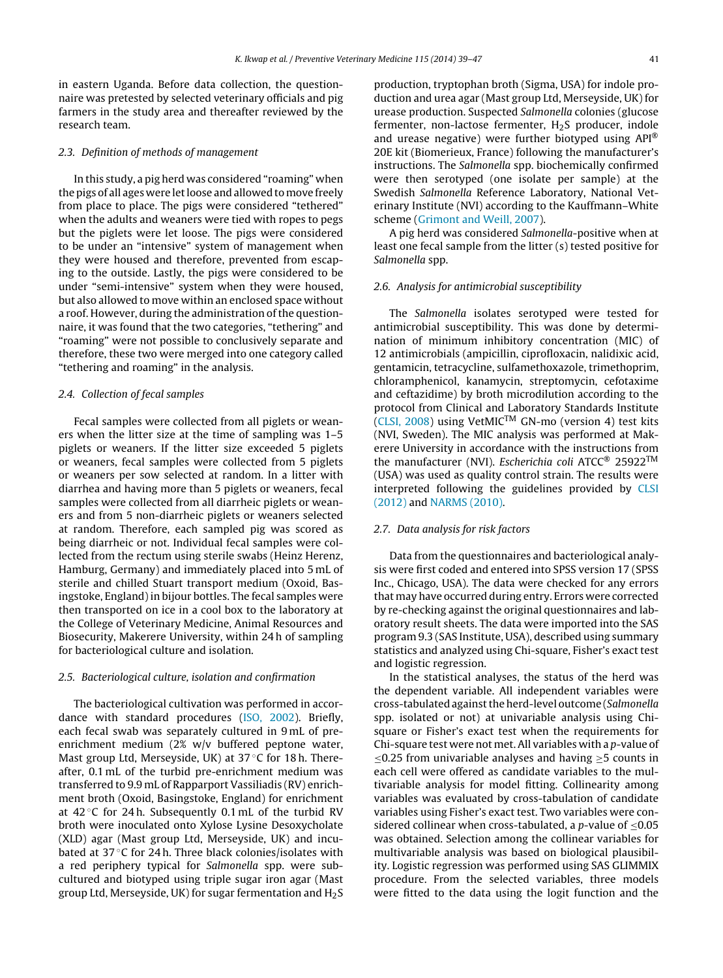in eastern Uganda. Before data collection, the questionnaire was pretested by selected veterinary officials and pig farmers in the study area and thereafter reviewed by the research team.

#### 2.3. Definition of methods of management

In this study, a pig herd was considered "roaming" when the pigs of all ages were let loose and allowed to move freely from place to place. The pigs were considered "tethered" when the adults and weaners were tied with ropes to pegs but the piglets were let loose. The pigs were considered to be under an "intensive" system of management when they were housed and therefore, prevented from escaping to the outside. Lastly, the pigs were considered to be under "semi-intensive" system when they were housed, but also allowed to move within an enclosed space without a roof. However, during the administration of the questionnaire, it was found that the two categories, "tethering" and "roaming" were not possible to conclusively separate and therefore, these two were merged into one category called "tethering and roaming" in the analysis.

#### 2.4. Collection of fecal samples

Fecal samples were collected from all piglets or weaners when the litter size at the time of sampling was 1–5 piglets or weaners. If the litter size exceeded 5 piglets or weaners, fecal samples were collected from 5 piglets or weaners per sow selected at random. In a litter with diarrhea and having more than 5 piglets or weaners, fecal samples were collected from all diarrheic piglets or weaners and from 5 non-diarrheic piglets or weaners selected at random. Therefore, each sampled pig was scored as being diarrheic or not. Individual fecal samples were collected from the rectum using sterile swabs (Heinz Herenz, Hamburg, Germany) and immediately placed into 5 mL of sterile and chilled Stuart transport medium (Oxoid, Basingstoke, England)in bijour bottles. The fecal samples were then transported on ice in a cool box to the laboratory at the College of Veterinary Medicine, Animal Resources and Biosecurity, Makerere University, within 24 h of sampling for bacteriological culture and isolation.

#### 2.5. Bacteriological culture, isolation and confirmation

The bacteriological cultivation was performed in accordance with standard procedures [\(ISO,](#page-7-0) [2002\).](#page-7-0) Briefly, each fecal swab was separately cultured in 9 mL of preenrichment medium (2% w/v buffered peptone water, Mast group Ltd, Merseyside, UK) at 37 ◦C for 18 h. Thereafter, 0.1 mL of the turbid pre-enrichment medium was transferred to 9.9 mL of Rapparport Vassiliadis (RV) enrichment broth (Oxoid, Basingstoke, England) for enrichment at  $42^{\circ}$ C for 24 h. Subsequently 0.1 mL of the turbid RV broth were inoculated onto Xylose Lysine Desoxycholate (XLD) agar (Mast group Ltd, Merseyside, UK) and incubated at 37 ◦C for 24 h. Three black colonies/isolates with a red periphery typical for Salmonella spp. were subcultured and biotyped using triple sugar iron agar (Mast group Ltd, Merseyside, UK) for sugar fermentation and  $H_2S$  production, tryptophan broth (Sigma, USA) for indole production and urea agar (Mast group Ltd, Merseyside, UK) for urease production. Suspected Salmonella colonies (glucose fermenter, non-lactose fermenter, H<sub>2</sub>S producer, indole and urease negative) were further biotyped using API® 20E kit (Biomerieux, France) following the manufacturer's instructions. The Salmonella spp. biochemically confirmed were then serotyped (one isolate per sample) at the Swedish Salmonella Reference Laboratory, National Veterinary Institute (NVI) according to the Kauffmann–White scheme [\(Grimont](#page-7-0) [and](#page-7-0) [Weill,](#page-7-0) [2007\).](#page-7-0)

A pig herd was considered Salmonella-positive when at least one fecal sample from the litter (s) tested positive for Salmonella spp.

#### 2.6. Analysis for antimicrobial susceptibility

The Salmonella isolates serotyped were tested for antimicrobial susceptibility. This was done by determination of minimum inhibitory concentration (MIC) of 12 antimicrobials (ampicillin, ciprofloxacin, nalidixic acid, gentamicin, tetracycline, sulfamethoxazole, trimethoprim, chloramphenicol, kanamycin, streptomycin, cefotaxime and ceftazidime) by broth microdilution according to the protocol from Clinical and Laboratory Standards Institute [\(CLSI,](#page-7-0) [2008\)](#page-7-0) using VetMICTM GN-mo (version 4) test kits (NVI, Sweden). The MIC analysis was performed at Makerere University in accordance with the instructions from the manufacturer (NVI). Escherichia coli ATCC® 25922TM (USA) was used as quality control strain. The results were interpreted following the guidelines provided by [CLSI](#page-7-0) [\(2012\)](#page-7-0) and [NARMS](#page-7-0) [\(2010\).](#page-7-0)

#### 2.7. Data analysis for risk factors

Data from the questionnaires and bacteriological analysis were first coded and entered into SPSS version 17 (SPSS Inc., Chicago, USA). The data were checked for any errors that may have occurred during entry. Errors were corrected by re-checking against the original questionnaires and laboratory result sheets. The data were imported into the SAS program 9.3 (SAS Institute, USA), described using summary statistics and analyzed using Chi-square, Fisher's exact test and logistic regression.

In the statistical analyses, the status of the herd was the dependent variable. All independent variables were cross-tabulated against the herd-level outcome (Salmonella spp. isolated or not) at univariable analysis using Chisquare or Fisher's exact test when the requirements for Chi-square test were not met.All variables with a p-value of  $\leq$ 0.25 from univariable analyses and having  $\geq$ 5 counts in each cell were offered as candidate variables to the multivariable analysis for model fitting. Collinearity among variables was evaluated by cross-tabulation of candidate variables using Fisher's exact test. Two variables were considered collinear when cross-tabulated, a p-value of  $\leq 0.05$ was obtained. Selection among the collinear variables for multivariable analysis was based on biological plausibility. Logistic regression was performed using SAS GLIMMIX procedure. From the selected variables, three models were fitted to the data using the logit function and the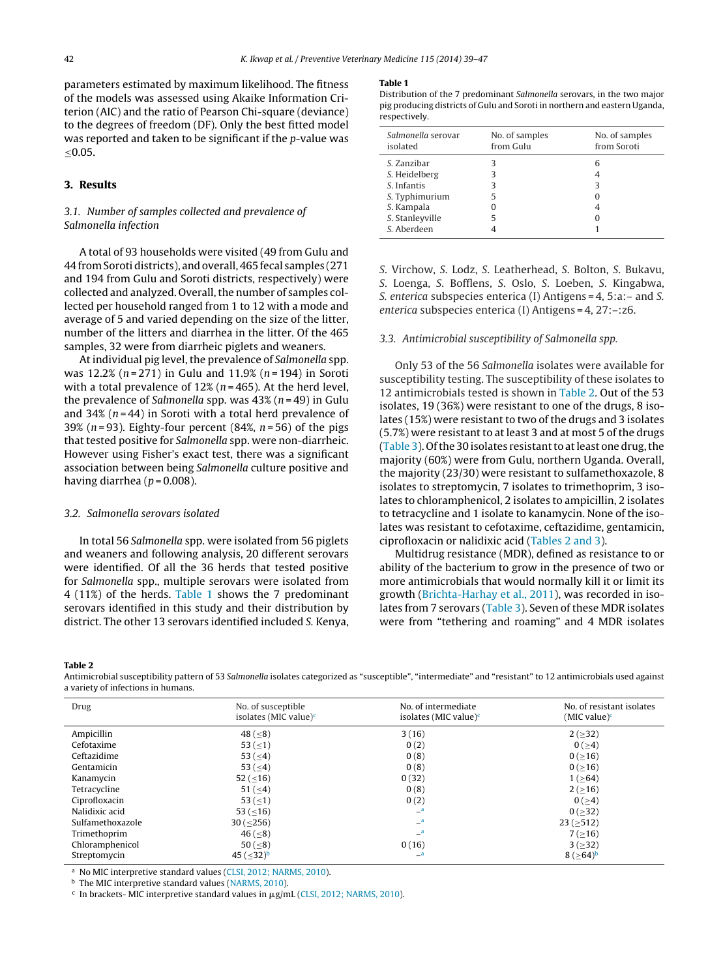parameters estimated by maximum likelihood. The fitness of the models was assessed using Akaike Information Criterion (AIC) and the ratio of Pearson Chi-square (deviance) to the degrees of freedom (DF). Only the best fitted model was reported and taken to be significant if the p-value was ≤0.05.

## **3. Results**

## 3.1. Number of samples collected and prevalence of Salmonella infection

A total of 93 households were visited (49 from Gulu and 44 fromSoroti districts), and overall, 465 fecal samples (271 and 194 from Gulu and Soroti districts, respectively) were collected and analyzed. Overall, the number of samples collected per household ranged from 1 to 12 with a mode and average of 5 and varied depending on the size of the litter, number of the litters and diarrhea in the litter. Of the 465 samples, 32 were from diarrheic piglets and weaners.

At individual pig level, the prevalence of Salmonella spp. was 12.2% ( $n = 271$ ) in Gulu and 11.9% ( $n = 194$ ) in Soroti with a total prevalence of  $12\%$  ( $n = 465$ ). At the herd level, the prevalence of Salmonella spp. was  $43\%$  ( $n = 49$ ) in Gulu and 34% ( $n = 44$ ) in Soroti with a total herd prevalence of 39% ( $n = 93$ ). Eighty-four percent (84%,  $n = 56$ ) of the pigs that tested positive for Salmonella spp. were non-diarrheic. However using Fisher's exact test, there was a significant association between being Salmonella culture positive and having diarrhea ( $p = 0.008$ ).

#### 3.2. Salmonella serovars isolated

In total 56 Salmonella spp. were isolated from 56 piglets and weaners and following analysis, 20 different serovars were identified. Of all the 36 herds that tested positive for Salmonella spp., multiple serovars were isolated from 4 (11%) of the herds. Table 1 shows the 7 predominant serovars identified in this study and their distribution by district. The other 13 serovars identified included S. Kenya,

#### **Table 1**

Distribution of the 7 predominant Salmonella serovars, in the two major pig producing districts of Gulu and Soroti in northern and eastern Uganda, respectively.

| Salmonella serovar<br>isolated | No. of samples<br>from Gulu | No. of samples<br>from Soroti |
|--------------------------------|-----------------------------|-------------------------------|
| S. Zanzibar                    | 3                           | 6                             |
| S. Heidelberg                  | 3                           |                               |
| S. Infantis                    | З                           | 3                             |
| S. Typhimurium                 | 5                           |                               |
| S. Kampala                     |                             |                               |
| S. Stanleyville                | 5                           |                               |
| S. Aberdeen                    |                             |                               |

S. Virchow, S. Lodz, S. Leatherhead, S. Bolton, S. Bukavu, S. Loenga, S. Bofflens, S. Oslo, S. Loeben, S. Kingabwa, S. enterica subspecies enterica (I) Antigens = 4, 5:a:– and S. enterica subspecies enterica (I) Antigens = 4, 27:–:z6.

#### 3.3. Antimicrobial susceptibility of Salmonella spp.

Only 53 of the 56 Salmonella isolates were available for susceptibility testing. The susceptibility of these isolates to 12 antimicrobials tested is shown in Table 2. Out of the 53 isolates, 19 (36%) were resistant to one of the drugs, 8 isolates (15%) were resistant to two of the drugs and 3 isolates (5.7%) were resistant to at least 3 and at most 5 of the drugs [\(Table](#page-4-0) 3). Of the 30 isolates resistant to at least one drug, the majority (60%) were from Gulu, northern Uganda. Overall, the majority (23/30) were resistant to sulfamethoxazole, 8 isolates to streptomycin, 7 isolates to trimethoprim, 3 isolates to chloramphenicol, 2 isolates to ampicillin, 2 isolates to tetracycline and 1 isolate to kanamycin. None of the isolates was resistant to cefotaxime, ceftazidime, gentamicin, ciprofloxacin or nalidixic acid (Tables 2 and 3).

Multidrug resistance (MDR), defined as resistance to or ability of the bacterium to grow in the presence of two or more antimicrobials that would normally kill it or limit its growth ([Brichta-Harhay](#page-7-0) et [al.,](#page-7-0) [2011\),](#page-7-0) was recorded in isolates from 7 serovars [\(Table](#page-4-0) 3). Seven of these MDR isolates were from "tethering and roaming" and 4 MDR isolates

**Table 2**

Antimicrobial susceptibility pattern of 53 Salmonella isolates categorized as "susceptible", "intermediate" and "resistant" to 12 antimicrobials used against a variety of infections in humans.

| Drug             | No. of susceptible<br>isolates (MIC value) $\epsilon$ | No. of intermediate<br>isolates (MIC value) $\epsilon$ | No. of resistant isolates<br>(MIC value) <sup>c</sup> |
|------------------|-------------------------------------------------------|--------------------------------------------------------|-------------------------------------------------------|
| Ampicillin       | 48 $(< 8)$                                            | 3(16)                                                  | 2(232)                                                |
| Cefotaxime       | 53 $( \le 1 )$                                        | 0(2)                                                   | 0(>4)                                                 |
| Ceftazidime      | 53 $(< 4)$                                            | 0(8)                                                   | $0( \ge 16)$                                          |
| Gentamicin       | 53 $(< 4)$                                            | 0(8)                                                   | $0( \geq 16)$                                         |
| Kanamycin        | 52 ( $\leq$ 16)                                       | 0(32)                                                  | $1( \geq 64)$                                         |
| Tetracycline     | $51 (-4)$                                             | 0(8)                                                   | 2(>16)                                                |
| Ciprofloxacin    | 53 $( \le 1 )$                                        | 0(2)                                                   | 0(>4)                                                 |
| Nalidixic acid   | $53 (-16)$                                            | a                                                      | $0( \geq 32)$                                         |
| Sulfamethoxazole | $30 \, (\leq 256)$                                    | a                                                      | $23 (=512)$                                           |
| Trimethoprim     | 46 $( \leq 8)$                                        | a                                                      | $7( \geq 16)$                                         |
| Chloramphenicol  | 50 $( \le 8)$                                         | 0(16)                                                  | $3(>=32)$                                             |
| Streptomycin     | 45 ( $\leq$ 32) <sup>b</sup>                          | $\mathbf{a}$                                           | 8 $( \geq 64)^b$                                      |
|                  |                                                       |                                                        |                                                       |

No MIC interpretive standard values ([CLSI,](#page-7-0) [2012;](#page-7-0) [NARMS,](#page-7-0) [2010\).](#page-7-0)

**b** The MIC interpretive standard values [\(NARMS,](#page-7-0) [2010\).](#page-7-0)

<sup>c</sup> In brackets- MIC interpretive standard values in  $\mu$ g/mL ([CLSI,](#page-7-0) [2012;](#page-7-0) [NARMS,](#page-7-0) [2010\).](#page-7-0)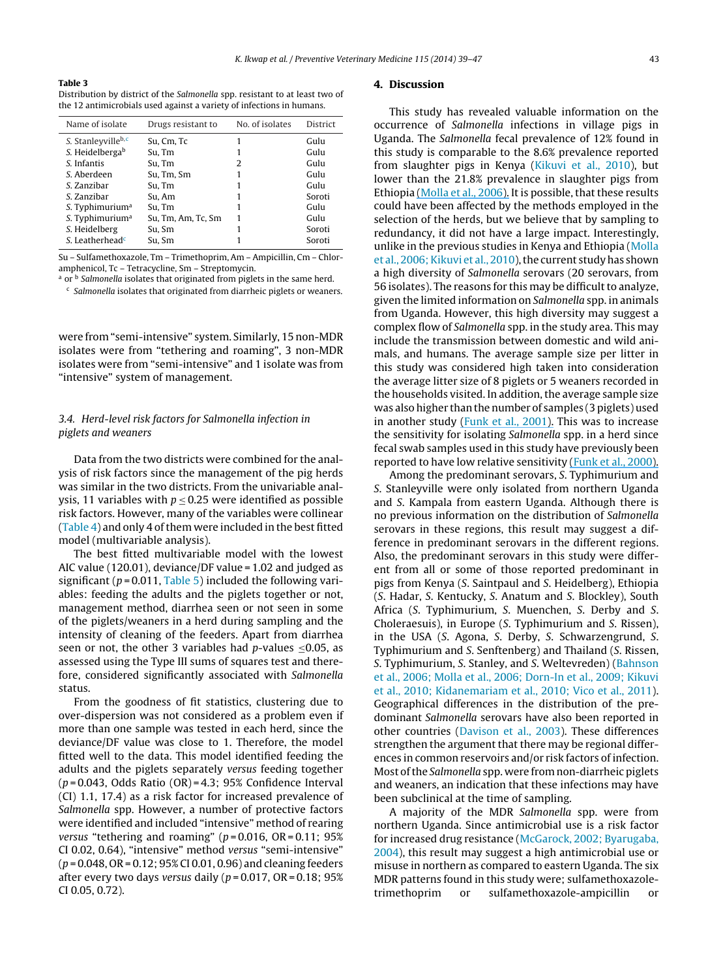#### <span id="page-4-0"></span>**Table 3**

Distribution by district of the Salmonella spp. resistant to at least two of the 12 antimicrobials used against a variety of infections in humans.

| Name of isolate             | Drugs resistant to | No. of isolates | <b>District</b> |
|-----------------------------|--------------------|-----------------|-----------------|
| S. Stanleyvilleb,c          | Su, Cm, Tc         |                 | Gulu            |
| S. Heidelbergab             | Su, Tm             |                 | Gulu            |
| S. Infantis                 | Su. Tm             | 2               | Gulu            |
| S. Aberdeen                 | Su, Tm, Sm         |                 | Gulu            |
| S. Zanzibar                 | Su, Tm             |                 | Gulu            |
| S. Zanzibar                 | Su, Am             |                 | Soroti          |
| S. Typhimurium <sup>a</sup> | Su, Tm             |                 | Gulu            |
| S. Typhimurium <sup>a</sup> | Su, Tm, Am, Tc, Sm |                 | Gulu            |
| S. Heidelberg               | Su, Sm             |                 | Soroti          |
| S. Leatherhead <sup>c</sup> | Su, Sm             |                 | Soroti          |

Su – Sulfamethoxazole, Tm – Trimethoprim, Am – Ampicillin, Cm – Chloramphenicol, Tc – Tetracycline, Sm – Streptomycin.

a or <sup>b</sup> Salmonella isolates that originated from piglets in the same herd.

 $c$  Salmonella isolates that originated from diarrheic piglets or weaners.

were from "semi-intensive" system. Similarly, 15 non-MDR isolates were from "tethering and roaming", 3 non-MDR isolates were from "semi-intensive" and 1 isolate was from "intensive" system of management.

## 3.4. Herd-level risk factors for Salmonella infection in piglets and weaners

Data from the two districts were combined for the analysis of risk factors since the management of the pig herds was similar in the two districts. From the univariable analysis, 11 variables with  $p \le 0.25$  were identified as possible risk factors. However, many of the variables were collinear [\(Table](#page-5-0) 4) and only 4 of them were included in the best fitted model (multivariable analysis).

The best fitted multivariable model with the lowest AIC value (120.01), deviance/DF value = 1.02 and judged as significant ( $p = 0.011$ , [Table](#page-5-0) 5) included the following variables: feeding the adults and the piglets together or not, management method, diarrhea seen or not seen in some of the piglets/weaners in a herd during sampling and the intensity of cleaning of the feeders. Apart from diarrhea seen or not, the other 3 variables had  $p$ -values <0.05, as assessed using the Type III sums of squares test and therefore, considered significantly associated with Salmonella status.

From the goodness of fit statistics, clustering due to over-dispersion was not considered as a problem even if more than one sample was tested in each herd, since the deviance/DF value was close to 1. Therefore, the model fitted well to the data. This model identified feeding the adults and the piglets separately versus feeding together  $(p=0.043,$  Odds Ratio  $(OR)=4.3$ ; 95% Confidence Interval (CI) 1.1, 17.4) as a risk factor for increased prevalence of Salmonella spp. However, a number of protective factors were identified and included "intensive" method of rearing versus "tethering and roaming" ( $p = 0.016$ , OR = 0.11; 95% CI 0.02, 0.64), "intensive" method versus "semi-intensive"  $(p = 0.048, \text{OR} = 0.12; 95\% \text{ CI } 0.01, 0.96)$  and cleaning feeders after every two days versus daily ( $p = 0.017$ , OR = 0.18; 95% CI 0.05, 0.72).

## **4. Discussion**

This study has revealed valuable information on the occurrence of Salmonella infections in village pigs in Uganda. The Salmonella fecal prevalence of 12% found in this study is comparable to the 8.6% prevalence reported from slaughter pigs in Kenya [\(Kikuvi](#page-7-0) et [al.,](#page-7-0) [2010\),](#page-7-0) but lower than the 21.8% prevalence in slaughter pigs from Ethiopia [\(Molla](https://www.researchgate.net/publication/7314627_Multidrug_Resistance_and_Distribution_of_Salmonella_Serovars_in_Slaughtered_Pigs?el=1_x_8&enrichId=rgreq-1cdc88e1-2faf-41cb-b975-d13c6c1af4f1&enrichSource=Y292ZXJQYWdlOzI2NDE1NjgyMDtBUzoyMzg4MDE3NjczNjY2NThAMTQzMzk0NjE4NjcwNg==) et [al.,](#page-7-0) [2006\).](#page-7-0) It is possible, that these results could have been affected by the methods employed in the selection of the herds, but we believe that by sampling to redundancy, it did not have a large impact. Interestingly, unlike in the previous studies in Kenya and Ethiopia ([Molla](#page-7-0) et [al.,](#page-7-0) 2006; Kikuvi et al., [2010\),](#page-7-0) the current study has shown a high diversity of Salmonella serovars (20 serovars, from 56 isolates). The reasons for this may be difficult to analyze, given the limited information on Salmonella spp. in animals from Uganda. However, this high diversity may suggest a complex flow of Salmonella spp. in the study area. This may include the transmission between domestic and wild animals, and humans. The average sample size per litter in this study was considered high taken into consideration the average litter size of 8 piglets or 5 weaners recorded in the households visited. In addition, the average sample size was also higher than the number of samples (3 piglets) used in another study [\(Funk](#page-7-0) et [al.,](#page-7-0) [2001\).](https://www.researchgate.net/publication/11822023_Longitudinal_study_of_Salmonella_enterica_in_growing_pigs_reared_in_multiple-site_pig_production_systems?el=1_x_8&enrichId=rgreq-1cdc88e1-2faf-41cb-b975-d13c6c1af4f1&enrichSource=Y292ZXJQYWdlOzI2NDE1NjgyMDtBUzoyMzg4MDE3NjczNjY2NThAMTQzMzk0NjE4NjcwNg==) This was to increase the sensitivity for isolating Salmonella spp. in a herd since fecal swab samples used in this study have previously been reported to have low relative sensitivity [\(Funk](#page-7-0) et [al.,](#page-7-0) [2000\).](https://www.researchgate.net/publication/12303218_The_Effect_of_Fecal_Sample_Weight_on_Detection_of_Salmonella_Enterica_in_Swine_Feces?el=1_x_8&enrichId=rgreq-1cdc88e1-2faf-41cb-b975-d13c6c1af4f1&enrichSource=Y292ZXJQYWdlOzI2NDE1NjgyMDtBUzoyMzg4MDE3NjczNjY2NThAMTQzMzk0NjE4NjcwNg==)

Among the predominant serovars, S. Typhimurium and S. Stanleyville were only isolated from northern Uganda and S. Kampala from eastern Uganda. Although there is no previous information on the distribution of Salmonella serovars in these regions, this result may suggest a difference in predominant serovars in the different regions. Also, the predominant serovars in this study were different from all or some of those reported predominant in pigs from Kenya (S. Saintpaul and S. Heidelberg), Ethiopia (S. Hadar, S. Kentucky, S. Anatum and S. Blockley), South Africa (S. Typhimurium, S. Muenchen, S. Derby and S. Choleraesuis), in Europe (S. Typhimurium and S. Rissen), in the USA (S. Agona, S. Derby, S. Schwarzengrund, S. Typhimurium and S. Senftenberg) and Thailand (S. Rissen, S. Typhimurium, S. Stanley, and S. Weltevreden) [\(Bahnson](#page-7-0) et [al.,](#page-7-0) [2006;](#page-7-0) [Molla](#page-7-0) et [al.,](#page-7-0) [2006;](#page-7-0) [Dorn-In](#page-7-0) et [al.,](#page-7-0) [2009;](#page-7-0) [Kikuvi](#page-7-0) et [al.,](#page-7-0) [2010;](#page-7-0) [Kidanemariam](#page-7-0) et [al.,](#page-7-0) [2010;](#page-7-0) [Vico](#page-7-0) et [al.,](#page-7-0) [2011\).](#page-7-0) Geographical differences in the distribution of the predominant Salmonella serovars have also been reported in other countries [\(Davison](#page-7-0) et [al.,](#page-7-0) [2003\).](#page-7-0) These differences strengthen the argument that there may be regional differences in common reservoirs and/or risk factors of infection. Most of the Salmonella spp. were from non-diarrheic piglets and weaners, an indication that these infections may have been subclinical at the time of sampling.

A majority of the MDR Salmonella spp. were from northern Uganda. Since antimicrobial use is a risk factor for increased drug resistance [\(McGarock,](#page-7-0) [2002;](#page-7-0) [Byarugaba,](#page-7-0) [2004\),](#page-7-0) this result may suggest a high antimicrobial use or misuse in northern as compared to eastern Uganda. The six MDR patterns found in this study were; sulfamethoxazoletrimethoprim or sulfamethoxazole-ampicillin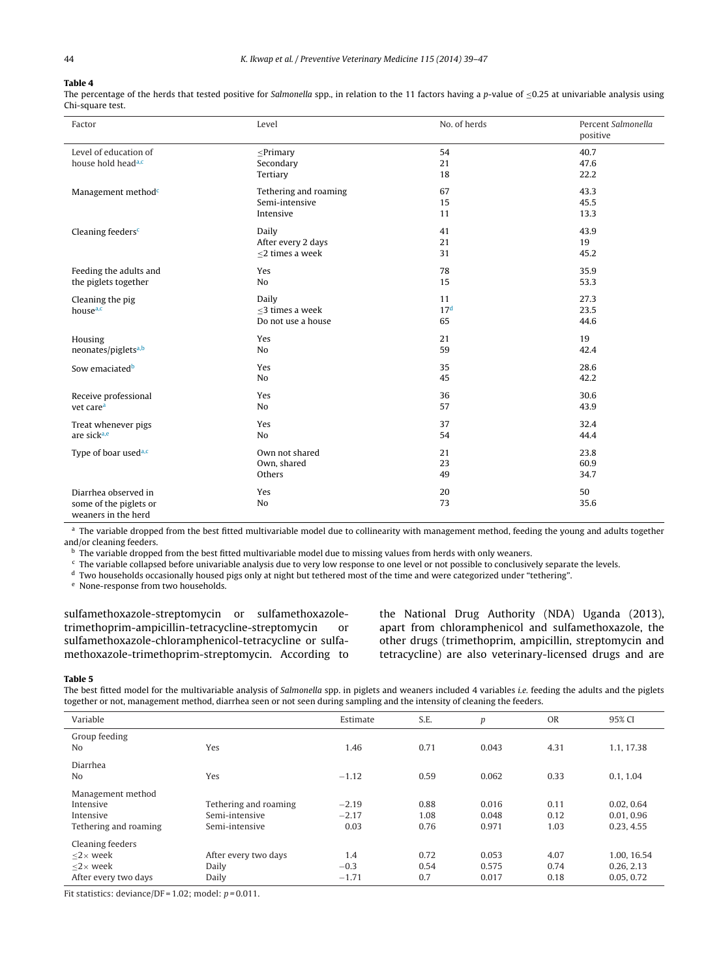#### <span id="page-5-0"></span>**Table 4**

The percentage of the herds that tested positive for Salmonella spp., in relation to the 11 factors having a p-value of <0.25 at univariable analysis using Chi-square test.

| Factor                                                                | Level                                                                                                                                      |                             | Percent Salmonella<br>positive |  |
|-----------------------------------------------------------------------|--------------------------------------------------------------------------------------------------------------------------------------------|-----------------------------|--------------------------------|--|
| Level of education of<br>house hold head <sup>a,c</sup>               | $\leq$ Primary<br>Secondary<br>Tertiary                                                                                                    | 54<br>21<br>18              |                                |  |
| Management method <sup>c</sup>                                        | 67<br>Tethering and roaming<br>Semi-intensive<br>15<br>Intensive<br>11<br>Daily<br>41<br>After every 2 days<br>21<br><2 times a week<br>31 |                             | 43.3<br>45.5<br>13.3           |  |
| Cleaning feeders <sup>c</sup>                                         |                                                                                                                                            |                             | 43.9<br>19<br>45.2             |  |
| Feeding the adults and                                                | Yes                                                                                                                                        | 78                          | 35.9                           |  |
| the piglets together                                                  | No                                                                                                                                         | 15                          | 53.3                           |  |
| Cleaning the pig<br>house <sup>a,c</sup>                              | Daily<br><3 times a week<br>Do not use a house                                                                                             | 11<br>17 <sup>d</sup><br>65 | 27.3<br>23.5<br>44.6           |  |
| Housing                                                               | Yes                                                                                                                                        | 21                          | 19                             |  |
| neonates/piglets <sup>a,b</sup>                                       | No                                                                                                                                         | 59                          | 42.4                           |  |
| Sow emaciated <sup>b</sup>                                            | Yes                                                                                                                                        | 35                          | 28.6                           |  |
|                                                                       | No                                                                                                                                         | 45                          | 42.2                           |  |
| Receive professional                                                  | Yes                                                                                                                                        | 36                          | 30.6                           |  |
| vet care <sup>a</sup>                                                 | N <sub>o</sub>                                                                                                                             | 57                          | 43.9                           |  |
| Treat whenever pigs                                                   | Yes                                                                                                                                        | 37                          | 32.4                           |  |
| are sicka,e                                                           | No                                                                                                                                         | 54                          | 44.4                           |  |
| Type of boar used <sup>a,c</sup>                                      | Own not shared                                                                                                                             | 21                          | 23.8                           |  |
|                                                                       | Own, shared                                                                                                                                | 23                          | 60.9                           |  |
|                                                                       | Others                                                                                                                                     | 49                          | 34.7                           |  |
| Diarrhea observed in<br>some of the piglets or<br>weaners in the herd | Yes<br>No                                                                                                                                  | 20<br>73                    | 50<br>35.6                     |  |

<sup>a</sup> The variable dropped from the best fitted multivariable model due to collinearity with management method, feeding the young and adults together and/or cleaning feeders.

**b** The variable dropped from the best fitted multivariable model due to missing values from herds with only weaners.

<sup>c</sup> The variable collapsed before univariable analysis due to very low response to one level or not possible to conclusively separate the levels.

<sup>d</sup> Two households occasionally housed pigs only at night but tethered most of the time and were categorized under "tethering".

<sup>e</sup> None-response from two households.

sulfamethoxazole-streptomycin or sulfamethoxazoletrimethoprim-ampicillin-tetracycline-streptomycin or sulfamethoxazole-chloramphenicol-tetracycline or sulfamethoxazole-trimethoprim-streptomycin. According to the National Drug Authority (NDA) Uganda (2013), apart from chloramphenicol and sulfamethoxazole, the other drugs (trimethoprim, ampicillin, streptomycin and tetracycline) are also veterinary-licensed drugs and are

#### **Table 5**

The best fitted model for the multivariable analysis of Salmonella spp. in piglets and weaners included 4 variables *i.e.* feeding the adults and the piglets together or not, management method, diarrhea seen or not seen during sampling and the intensity of cleaning the feeders.

| Variable                                                                                                  |                                                           | Estimate                   | S.E.                 | p                       | <b>OR</b>            | 95% CI                                 |
|-----------------------------------------------------------------------------------------------------------|-----------------------------------------------------------|----------------------------|----------------------|-------------------------|----------------------|----------------------------------------|
| Group feeding<br>No                                                                                       | Yes                                                       | 1.46                       | 0.71                 | 0.043                   | 4.31                 | 1.1.17.38                              |
| Diarrhea<br>No                                                                                            | Yes                                                       | $-1.12$                    | 0.59                 | 0.062                   | 0.33                 | 0.1, 1.04                              |
| Management method<br>Intensive<br>Intensive<br>Tethering and roaming                                      | Tethering and roaming<br>Semi-intensive<br>Semi-intensive | $-2.19$<br>$-2.17$<br>0.03 | 0.88<br>1.08<br>0.76 | 0.016<br>0.048<br>0.971 | 0.11<br>0.12<br>1.03 | 0.02, 0.64<br>0.01, 0.96<br>0.23, 4.55 |
| Cleaning feeders<br>$<$ 2 $\times$ week<br>$\langle 2 \times \text{week} \rangle$<br>After every two days | After every two days<br>Daily<br>Daily                    | 1.4<br>$-0.3$<br>$-1.71$   | 0.72<br>0.54<br>0.7  | 0.053<br>0.575<br>0.017 | 4.07<br>0.74<br>0.18 | 1.00, 16.54<br>0.26.2.13<br>0.05, 0.72 |

Fit statistics: deviance/DF =  $1.02$ ; model:  $p = 0.011$ .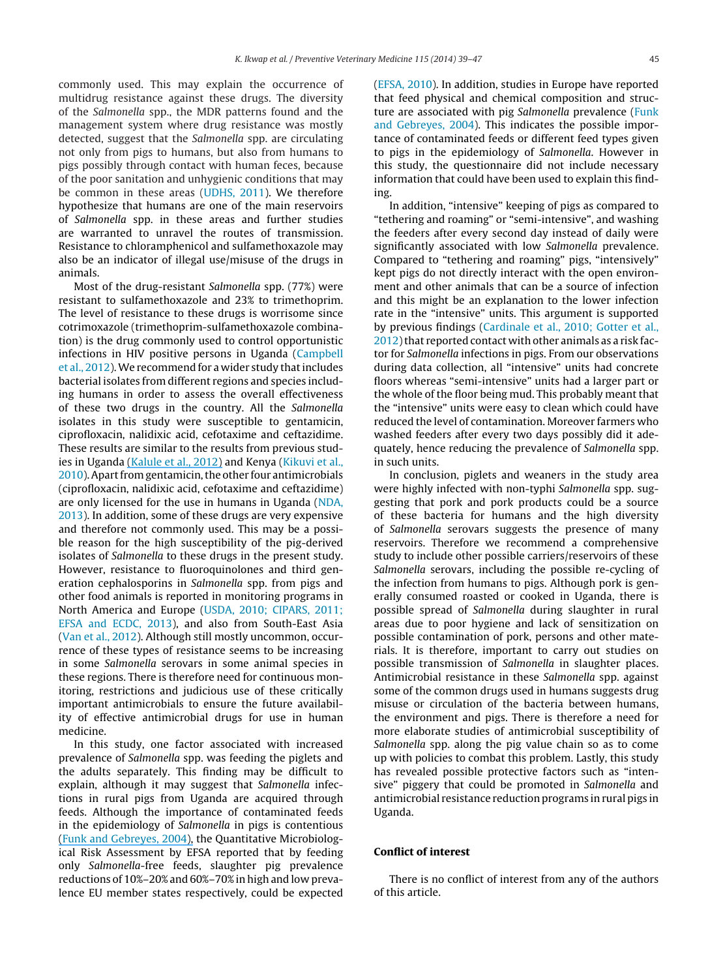commonly used. This may explain the occurrence of multidrug resistance against these drugs. The diversity of the Salmonella spp., the MDR patterns found and the management system where drug resistance was mostly detected, suggest that the Salmonella spp. are circulating not only from pigs to humans, but also from humans to pigs possibly through contact with human feces, because of the poor sanitation and unhygienic conditions that may be common in these areas ([UDHS,](#page-8-0) [2011\).](#page-8-0) We therefore hypothesize that humans are one of the main reservoirs of Salmonella spp. in these areas and further studies are warranted to unravel the routes of transmission. Resistance to chloramphenicol and sulfamethoxazole may also be an indicator of illegal use/misuse of the drugs in animals.

Most of the drug-resistant Salmonella spp. (77%) were resistant to sulfamethoxazole and 23% to trimethoprim. The level of resistance to these drugs is worrisome since cotrimoxazole (trimethoprim-sulfamethoxazole combination) is the drug commonly used to control opportunistic infections in HIV positive persons in Uganda [\(Campbell](#page-7-0) et [al.,](#page-7-0) [2012\).](#page-7-0)We recommend for a wider study thatincludes bacterial isolates from different regions and species including humans in order to assess the overall effectiveness of these two drugs in the country. All the Salmonella isolates in this study were susceptible to gentamicin, ciprofloxacin, nalidixic acid, cefotaxime and ceftazidime. These results are similar to the results from previous studies in Uganda [\(Kalule](https://www.researchgate.net/publication/235009408_Antimicrobial_Drug_Resistance_and_Plasmid_Profiles_of_Salmonella_Isolates_from_Humans_and_Foods_of_Animal_Origin_in_Uganda?el=1_x_8&enrichId=rgreq-1cdc88e1-2faf-41cb-b975-d13c6c1af4f1&enrichSource=Y292ZXJQYWdlOzI2NDE1NjgyMDtBUzoyMzg4MDE3NjczNjY2NThAMTQzMzk0NjE4NjcwNg==) et [al.,](#page-7-0) [2012\)](#page-7-0) and Kenya [\(Kikuvi](#page-7-0) et [al.,](#page-7-0) [2010\).](#page-7-0) Apart from gentamicin, the other four antimicrobials (ciprofloxacin, nalidixic acid, cefotaxime and ceftazidime) are only licensed for the use in humans in Uganda ([NDA,](#page-8-0) [2013\).](#page-8-0) In addition, some of these drugs are very expensive and therefore not commonly used. This may be a possible reason for the high susceptibility of the pig-derived isolates of Salmonella to these drugs in the present study. However, resistance to fluoroquinolones and third generation cephalosporins in Salmonella spp. from pigs and other food animals is reported in monitoring programs in North America and Europe [\(USDA,](#page-8-0) [2010;](#page-8-0) [CIPARS,](#page-8-0) [2011;](#page-8-0) [EFSA](#page-8-0) [and](#page-8-0) [ECDC,](#page-8-0) [2013\),](#page-8-0) and also from South-East Asia [\(Van](#page-8-0) et [al.,](#page-8-0) [2012\).](#page-8-0) Although still mostly uncommon, occurrence of these types of resistance seems to be increasing in some Salmonella serovars in some animal species in these regions. There is therefore need for continuous monitoring, restrictions and judicious use of these critically important antimicrobials to ensure the future availability of effective antimicrobial drugs for use in human medicine.

In this study, one factor associated with increased prevalence of Salmonella spp. was feeding the piglets and the adults separately. This finding may be difficult to explain, although it may suggest that Salmonella infections in rural pigs from Uganda are acquired through feeds. Although the importance of contaminated feeds in the epidemiology of Salmonella in pigs is contentious [\(Funk](#page-7-0) [and](#page-7-0) [Gebreyes,](https://www.researchgate.net/publication/242725755_Risk_factors_associated_with_Salmonella_prevalence_on_swine_farms?el=1_x_8&enrichId=rgreq-1cdc88e1-2faf-41cb-b975-d13c6c1af4f1&enrichSource=Y292ZXJQYWdlOzI2NDE1NjgyMDtBUzoyMzg4MDE3NjczNjY2NThAMTQzMzk0NjE4NjcwNg==) [2004\),](#page-7-0) the Quantitative Microbiological Risk Assessment by EFSA reported that by feeding only Salmonella-free feeds, slaughter pig prevalence reductions of 10%–20% and 60%–70% in high and low prevalence EU member states respectively, could be expected [\(EFSA,](#page-7-0) [2010\).](#page-7-0) In addition, studies in Europe have reported that feed physical and chemical composition and struc-ture are associated with pig Salmonella prevalence [\(Funk](#page-7-0) [and](#page-7-0) [Gebreyes,](#page-7-0) [2004\).](#page-7-0) This indicates the possible importance of contaminated feeds or different feed types given to pigs in the epidemiology of Salmonella. However in this study, the questionnaire did not include necessary information that could have been used to explain this finding.

In addition, "intensive" keeping of pigs as compared to "tethering and roaming" or "semi-intensive", and washing the feeders after every second day instead of daily were significantly associated with low Salmonella prevalence. Compared to "tethering and roaming" pigs, "intensively" kept pigs do not directly interact with the open environment and other animals that can be a source of infection and this might be an explanation to the lower infection rate in the "intensive" units. This argument is supported by previous findings ([Cardinale](#page-7-0) et [al.,](#page-7-0) [2010;](#page-7-0) [Gotter](#page-7-0) et [al.,](#page-7-0)  $2012$ ) that reported contact with other animals as a risk factor for Salmonella infections in pigs. From our observations during data collection, all "intensive" units had concrete floors whereas "semi-intensive" units had a larger part or the whole of the floor being mud. This probably meant that the "intensive" units were easy to clean which could have reduced the level of contamination. Moreover farmers who washed feeders after every two days possibly did it adequately, hence reducing the prevalence of Salmonella spp. in such units.

In conclusion, piglets and weaners in the study area were highly infected with non-typhi Salmonella spp. suggesting that pork and pork products could be a source of these bacteria for humans and the high diversity of Salmonella serovars suggests the presence of many reservoirs. Therefore we recommend a comprehensive study to include other possible carriers/reservoirs of these Salmonella serovars, including the possible re-cycling of the infection from humans to pigs. Although pork is generally consumed roasted or cooked in Uganda, there is possible spread of Salmonella during slaughter in rural areas due to poor hygiene and lack of sensitization on possible contamination of pork, persons and other materials. It is therefore, important to carry out studies on possible transmission of Salmonella in slaughter places. Antimicrobial resistance in these Salmonella spp. against some of the common drugs used in humans suggests drug misuse or circulation of the bacteria between humans, the environment and pigs. There is therefore a need for more elaborate studies of antimicrobial susceptibility of Salmonella spp. along the pig value chain so as to come up with policies to combat this problem. Lastly, this study has revealed possible protective factors such as "intensive" piggery that could be promoted in Salmonella and antimicrobial resistance reduction programs in rural pigs in Uganda.

### **Conflict of interest**

There is no conflict of interest from any of the authors of this article.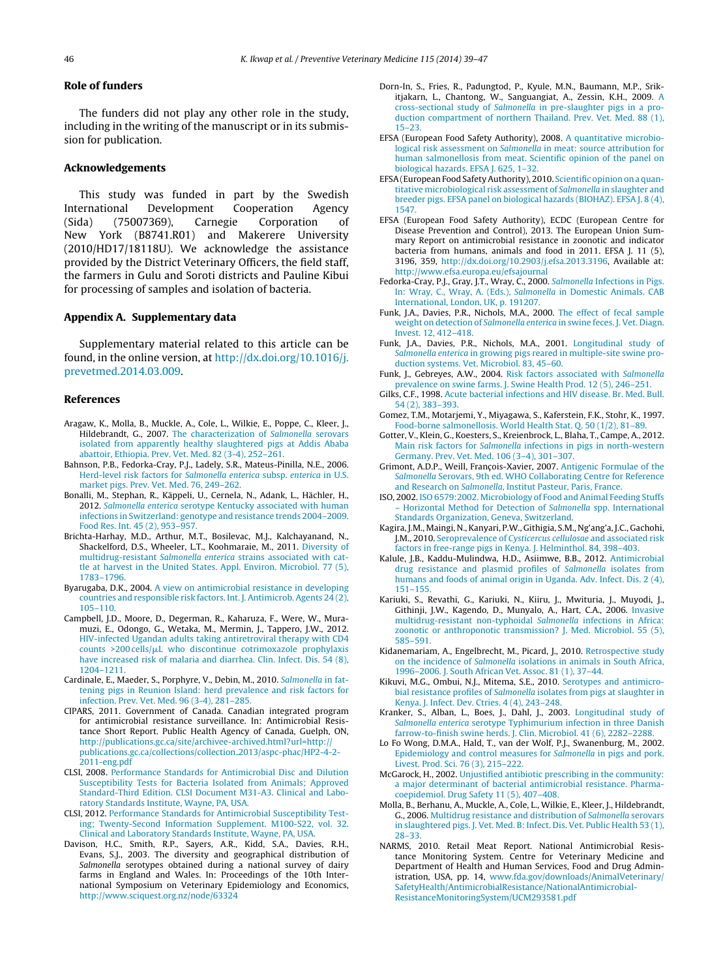#### <span id="page-7-0"></span>**Role of funders**

The funders did not play any other role in the study, including in the writing of the manuscript or in its submission for publication.

## **Acknowledgements**

This study was funded in part by the Swedish International Development Cooperation Agency (Sida) (75007369), Carnegie Corporation of New York (B8741.R01) and Makerere University (2010/HD17/18118U). We acknowledge the assistance provided by the District Veterinary Officers, the field staff, the farmers in Gulu and Soroti districts and Pauline Kibui for processing of samples and isolation of bacteria.

#### **Appendix A. Supplementary data**

Supplementary material related to this article can be found, in the online version, at [http://dx.doi.org/10.1016/j.](http://dx.doi.org/10.1016/j.prevetmed.2014.03.009) [prevetmed.2014.03.009.](http://dx.doi.org/10.1016/j.prevetmed.2014.03.009)

#### **References**

- Aragaw, K., Molla, B., Muckle, A., Cole, L., Wilkie, E., Poppe, C., Kleer, J., Hildebrandt, G., 2007. [The](http://refhub.elsevier.com/S0167-5877(14)00104-4/sbref0005) [characterization](http://refhub.elsevier.com/S0167-5877(14)00104-4/sbref0005) [of](http://refhub.elsevier.com/S0167-5877(14)00104-4/sbref0005) [Salmonella](http://refhub.elsevier.com/S0167-5877(14)00104-4/sbref0005) [serovars](http://refhub.elsevier.com/S0167-5877(14)00104-4/sbref0005) [isolated](http://refhub.elsevier.com/S0167-5877(14)00104-4/sbref0005) [from](http://refhub.elsevier.com/S0167-5877(14)00104-4/sbref0005) [apparently](http://refhub.elsevier.com/S0167-5877(14)00104-4/sbref0005) [healthy](http://refhub.elsevier.com/S0167-5877(14)00104-4/sbref0005) [slaughtered](http://refhub.elsevier.com/S0167-5877(14)00104-4/sbref0005) [pigs](http://refhub.elsevier.com/S0167-5877(14)00104-4/sbref0005) [at](http://refhub.elsevier.com/S0167-5877(14)00104-4/sbref0005) [Addis](http://refhub.elsevier.com/S0167-5877(14)00104-4/sbref0005) [Ababa](http://refhub.elsevier.com/S0167-5877(14)00104-4/sbref0005) [abattoir,](http://refhub.elsevier.com/S0167-5877(14)00104-4/sbref0005) [Ethiopia.](http://refhub.elsevier.com/S0167-5877(14)00104-4/sbref0005) [Prev.](http://refhub.elsevier.com/S0167-5877(14)00104-4/sbref0005) [Vet.](http://refhub.elsevier.com/S0167-5877(14)00104-4/sbref0005) [Med.](http://refhub.elsevier.com/S0167-5877(14)00104-4/sbref0005) [82](http://refhub.elsevier.com/S0167-5877(14)00104-4/sbref0005) [\(3-4\),](http://refhub.elsevier.com/S0167-5877(14)00104-4/sbref0005) [252–261.](http://refhub.elsevier.com/S0167-5877(14)00104-4/sbref0005)
- Bahnson, P.B., Fedorka-Cray, P.J., Ladely, S.R., Mateus-Pinilla, N.E., 2006. [Herd-level](http://refhub.elsevier.com/S0167-5877(14)00104-4/sbref0010) [risk](http://refhub.elsevier.com/S0167-5877(14)00104-4/sbref0010) [factors](http://refhub.elsevier.com/S0167-5877(14)00104-4/sbref0010) [for](http://refhub.elsevier.com/S0167-5877(14)00104-4/sbref0010) [Salmonella](http://refhub.elsevier.com/S0167-5877(14)00104-4/sbref0010) [enterica](http://refhub.elsevier.com/S0167-5877(14)00104-4/sbref0010) [subsp.](http://refhub.elsevier.com/S0167-5877(14)00104-4/sbref0010) [enterica](http://refhub.elsevier.com/S0167-5877(14)00104-4/sbref0010) [in](http://refhub.elsevier.com/S0167-5877(14)00104-4/sbref0010) [U.S.](http://refhub.elsevier.com/S0167-5877(14)00104-4/sbref0010) [market](http://refhub.elsevier.com/S0167-5877(14)00104-4/sbref0010) [pigs.](http://refhub.elsevier.com/S0167-5877(14)00104-4/sbref0010) [Prev.](http://refhub.elsevier.com/S0167-5877(14)00104-4/sbref0010) [Vet.](http://refhub.elsevier.com/S0167-5877(14)00104-4/sbref0010) [Med.](http://refhub.elsevier.com/S0167-5877(14)00104-4/sbref0010) [76,](http://refhub.elsevier.com/S0167-5877(14)00104-4/sbref0010) [249–262.](http://refhub.elsevier.com/S0167-5877(14)00104-4/sbref0010)
- Bonalli, M., Stephan, R., Käppeli, U., Cernela, N., Adank, L., Hächler, H., 2012. [Salmonella](http://refhub.elsevier.com/S0167-5877(14)00104-4/sbref0015) [enterica](http://refhub.elsevier.com/S0167-5877(14)00104-4/sbref0015) [serotype](http://refhub.elsevier.com/S0167-5877(14)00104-4/sbref0015) [Kentucky](http://refhub.elsevier.com/S0167-5877(14)00104-4/sbref0015) [associated](http://refhub.elsevier.com/S0167-5877(14)00104-4/sbref0015) [with](http://refhub.elsevier.com/S0167-5877(14)00104-4/sbref0015) [human](http://refhub.elsevier.com/S0167-5877(14)00104-4/sbref0015) [infections](http://refhub.elsevier.com/S0167-5877(14)00104-4/sbref0015) [in](http://refhub.elsevier.com/S0167-5877(14)00104-4/sbref0015) [Switzerland:](http://refhub.elsevier.com/S0167-5877(14)00104-4/sbref0015) [genotype](http://refhub.elsevier.com/S0167-5877(14)00104-4/sbref0015) [and](http://refhub.elsevier.com/S0167-5877(14)00104-4/sbref0015) [resistance](http://refhub.elsevier.com/S0167-5877(14)00104-4/sbref0015) [trends](http://refhub.elsevier.com/S0167-5877(14)00104-4/sbref0015) [2004–2009.](http://refhub.elsevier.com/S0167-5877(14)00104-4/sbref0015) [Food](http://refhub.elsevier.com/S0167-5877(14)00104-4/sbref0015) [Res.](http://refhub.elsevier.com/S0167-5877(14)00104-4/sbref0015) [Int.](http://refhub.elsevier.com/S0167-5877(14)00104-4/sbref0015) [45](http://refhub.elsevier.com/S0167-5877(14)00104-4/sbref0015) [\(2\),](http://refhub.elsevier.com/S0167-5877(14)00104-4/sbref0015) [953](http://refhub.elsevier.com/S0167-5877(14)00104-4/sbref0015)–[957.](http://refhub.elsevier.com/S0167-5877(14)00104-4/sbref0015)
- Brichta-Harhay, M.D., Arthur, M.T., Bosilevac, M.J., Kalchayanand, N., Shackelford, D.S., Wheeler, L.T., Koohmaraie, M., 2011. [Diversity](http://refhub.elsevier.com/S0167-5877(14)00104-4/sbref0020) [of](http://refhub.elsevier.com/S0167-5877(14)00104-4/sbref0020) [multidrug-resistant](http://refhub.elsevier.com/S0167-5877(14)00104-4/sbref0020) [Salmonella](http://refhub.elsevier.com/S0167-5877(14)00104-4/sbref0020) [enterica](http://refhub.elsevier.com/S0167-5877(14)00104-4/sbref0020) [strains](http://refhub.elsevier.com/S0167-5877(14)00104-4/sbref0020) [associated](http://refhub.elsevier.com/S0167-5877(14)00104-4/sbref0020) [with](http://refhub.elsevier.com/S0167-5877(14)00104-4/sbref0020) [cat](http://refhub.elsevier.com/S0167-5877(14)00104-4/sbref0020)[tle](http://refhub.elsevier.com/S0167-5877(14)00104-4/sbref0020) [at](http://refhub.elsevier.com/S0167-5877(14)00104-4/sbref0020) [harvest](http://refhub.elsevier.com/S0167-5877(14)00104-4/sbref0020) [in](http://refhub.elsevier.com/S0167-5877(14)00104-4/sbref0020) [the](http://refhub.elsevier.com/S0167-5877(14)00104-4/sbref0020) [United](http://refhub.elsevier.com/S0167-5877(14)00104-4/sbref0020) [States.](http://refhub.elsevier.com/S0167-5877(14)00104-4/sbref0020) [Appl.](http://refhub.elsevier.com/S0167-5877(14)00104-4/sbref0020) [Environ.](http://refhub.elsevier.com/S0167-5877(14)00104-4/sbref0020) [Microbiol.](http://refhub.elsevier.com/S0167-5877(14)00104-4/sbref0020) [77](http://refhub.elsevier.com/S0167-5877(14)00104-4/sbref0020) [\(5\),](http://refhub.elsevier.com/S0167-5877(14)00104-4/sbref0020) [1783](http://refhub.elsevier.com/S0167-5877(14)00104-4/sbref0020)–[1796.](http://refhub.elsevier.com/S0167-5877(14)00104-4/sbref0020)
- Byarugaba, D.K., 2004. [A](http://refhub.elsevier.com/S0167-5877(14)00104-4/sbref0025) [view](http://refhub.elsevier.com/S0167-5877(14)00104-4/sbref0025) [on](http://refhub.elsevier.com/S0167-5877(14)00104-4/sbref0025) [antimicrobial](http://refhub.elsevier.com/S0167-5877(14)00104-4/sbref0025) [resistance](http://refhub.elsevier.com/S0167-5877(14)00104-4/sbref0025) [in](http://refhub.elsevier.com/S0167-5877(14)00104-4/sbref0025) [developing](http://refhub.elsevier.com/S0167-5877(14)00104-4/sbref0025) [countries](http://refhub.elsevier.com/S0167-5877(14)00104-4/sbref0025) [and](http://refhub.elsevier.com/S0167-5877(14)00104-4/sbref0025) [responsible](http://refhub.elsevier.com/S0167-5877(14)00104-4/sbref0025) [risk](http://refhub.elsevier.com/S0167-5877(14)00104-4/sbref0025) [factors.](http://refhub.elsevier.com/S0167-5877(14)00104-4/sbref0025) [Int.](http://refhub.elsevier.com/S0167-5877(14)00104-4/sbref0025) [J.](http://refhub.elsevier.com/S0167-5877(14)00104-4/sbref0025) [Antimicrob.](http://refhub.elsevier.com/S0167-5877(14)00104-4/sbref0025) [Agents](http://refhub.elsevier.com/S0167-5877(14)00104-4/sbref0025) [24](http://refhub.elsevier.com/S0167-5877(14)00104-4/sbref0025) [\(2\),](http://refhub.elsevier.com/S0167-5877(14)00104-4/sbref0025) [105](http://refhub.elsevier.com/S0167-5877(14)00104-4/sbref0025)–[110.](http://refhub.elsevier.com/S0167-5877(14)00104-4/sbref0025)
- Campbell, J.D., Moore, D., Degerman, R., Kaharuza, F., Were, W., Muramuzi, E., Odongo, G., Wetaka, M., Mermin, J., Tappero, J.W., 2012. [HIV-infected](http://refhub.elsevier.com/S0167-5877(14)00104-4/sbref0030) [Ugandan](http://refhub.elsevier.com/S0167-5877(14)00104-4/sbref0030) [adults](http://refhub.elsevier.com/S0167-5877(14)00104-4/sbref0030) [taking](http://refhub.elsevier.com/S0167-5877(14)00104-4/sbref0030) [antiretroviral](http://refhub.elsevier.com/S0167-5877(14)00104-4/sbref0030) [therapy](http://refhub.elsevier.com/S0167-5877(14)00104-4/sbref0030) [with](http://refhub.elsevier.com/S0167-5877(14)00104-4/sbref0030) [CD4](http://refhub.elsevier.com/S0167-5877(14)00104-4/sbref0030)  $counts >200$  $counts >200$  $counts >200$  [cells/](http://refhub.elsevier.com/S0167-5877(14)00104-4/sbref0030) $\mu$ [L](http://refhub.elsevier.com/S0167-5877(14)00104-4/sbref0030) [who](http://refhub.elsevier.com/S0167-5877(14)00104-4/sbref0030) [discontinue](http://refhub.elsevier.com/S0167-5877(14)00104-4/sbref0030) [cotrimoxazole](http://refhub.elsevier.com/S0167-5877(14)00104-4/sbref0030) [prophylaxis](http://refhub.elsevier.com/S0167-5877(14)00104-4/sbref0030) [have](http://refhub.elsevier.com/S0167-5877(14)00104-4/sbref0030) [increased](http://refhub.elsevier.com/S0167-5877(14)00104-4/sbref0030) [risk](http://refhub.elsevier.com/S0167-5877(14)00104-4/sbref0030) [of](http://refhub.elsevier.com/S0167-5877(14)00104-4/sbref0030) [malaria](http://refhub.elsevier.com/S0167-5877(14)00104-4/sbref0030) [and](http://refhub.elsevier.com/S0167-5877(14)00104-4/sbref0030) [diarrhea.](http://refhub.elsevier.com/S0167-5877(14)00104-4/sbref0030) [Clin.](http://refhub.elsevier.com/S0167-5877(14)00104-4/sbref0030) [Infect.](http://refhub.elsevier.com/S0167-5877(14)00104-4/sbref0030) [Dis.](http://refhub.elsevier.com/S0167-5877(14)00104-4/sbref0030) [54](http://refhub.elsevier.com/S0167-5877(14)00104-4/sbref0030) [\(8\),](http://refhub.elsevier.com/S0167-5877(14)00104-4/sbref0030) [1204](http://refhub.elsevier.com/S0167-5877(14)00104-4/sbref0030)–[1211.](http://refhub.elsevier.com/S0167-5877(14)00104-4/sbref0030)
- Cardinale, E., Maeder, S., Porphyre, V., Debin, M., 2010. [Salmonella](http://refhub.elsevier.com/S0167-5877(14)00104-4/sbref0035) [in](http://refhub.elsevier.com/S0167-5877(14)00104-4/sbref0035) [fat](http://refhub.elsevier.com/S0167-5877(14)00104-4/sbref0035)[tening](http://refhub.elsevier.com/S0167-5877(14)00104-4/sbref0035) [pigs](http://refhub.elsevier.com/S0167-5877(14)00104-4/sbref0035) [in](http://refhub.elsevier.com/S0167-5877(14)00104-4/sbref0035) [Reunion](http://refhub.elsevier.com/S0167-5877(14)00104-4/sbref0035) [Island:](http://refhub.elsevier.com/S0167-5877(14)00104-4/sbref0035) [herd](http://refhub.elsevier.com/S0167-5877(14)00104-4/sbref0035) [prevalence](http://refhub.elsevier.com/S0167-5877(14)00104-4/sbref0035) [and](http://refhub.elsevier.com/S0167-5877(14)00104-4/sbref0035) [risk](http://refhub.elsevier.com/S0167-5877(14)00104-4/sbref0035) [factors](http://refhub.elsevier.com/S0167-5877(14)00104-4/sbref0035) [for](http://refhub.elsevier.com/S0167-5877(14)00104-4/sbref0035) [infection.](http://refhub.elsevier.com/S0167-5877(14)00104-4/sbref0035) [Prev.](http://refhub.elsevier.com/S0167-5877(14)00104-4/sbref0035) [Vet.](http://refhub.elsevier.com/S0167-5877(14)00104-4/sbref0035) [Med.](http://refhub.elsevier.com/S0167-5877(14)00104-4/sbref0035) [96](http://refhub.elsevier.com/S0167-5877(14)00104-4/sbref0035) [\(3-4\),](http://refhub.elsevier.com/S0167-5877(14)00104-4/sbref0035) [281](http://refhub.elsevier.com/S0167-5877(14)00104-4/sbref0035)–[285.](http://refhub.elsevier.com/S0167-5877(14)00104-4/sbref0035)
- CIPARS, 2011. Government of Canada. Canadian integrated program for antimicrobial resistance surveillance. In: Antimicrobial Resistance Short Report. Public Health Agency of Canada, Guelph, ON, [http://publications.gc.ca/site/archivee-archived.html?url=http://](http://publications.gc.ca/site/archivee-archived.html?url=http://publications.gc.ca/collections/collection_2013/aspc-phac/HP2-4-2-2011-eng.pdf) [publications.gc.ca/collections/collection](http://publications.gc.ca/site/archivee-archived.html?url=http://publications.gc.ca/collections/collection_2013/aspc-phac/HP2-4-2-2011-eng.pdf) 2013/aspc-phac/HP2-4-2- [2011-eng.pdf](http://publications.gc.ca/site/archivee-archived.html?url=http://publications.gc.ca/collections/collection_2013/aspc-phac/HP2-4-2-2011-eng.pdf)
- CLSI, 2008. [Performance](http://refhub.elsevier.com/S0167-5877(14)00104-4/sbref0045) [Standards](http://refhub.elsevier.com/S0167-5877(14)00104-4/sbref0045) [for](http://refhub.elsevier.com/S0167-5877(14)00104-4/sbref0045) [Antimicrobial](http://refhub.elsevier.com/S0167-5877(14)00104-4/sbref0045) [Disc](http://refhub.elsevier.com/S0167-5877(14)00104-4/sbref0045) [and](http://refhub.elsevier.com/S0167-5877(14)00104-4/sbref0045) [Dilution](http://refhub.elsevier.com/S0167-5877(14)00104-4/sbref0045) [Susceptibility](http://refhub.elsevier.com/S0167-5877(14)00104-4/sbref0045) [Tests](http://refhub.elsevier.com/S0167-5877(14)00104-4/sbref0045) [for](http://refhub.elsevier.com/S0167-5877(14)00104-4/sbref0045) [Bacteria](http://refhub.elsevier.com/S0167-5877(14)00104-4/sbref0045) [Isolated](http://refhub.elsevier.com/S0167-5877(14)00104-4/sbref0045) [from](http://refhub.elsevier.com/S0167-5877(14)00104-4/sbref0045) [Animals;](http://refhub.elsevier.com/S0167-5877(14)00104-4/sbref0045) [Approved](http://refhub.elsevier.com/S0167-5877(14)00104-4/sbref0045) [Standard-Third](http://refhub.elsevier.com/S0167-5877(14)00104-4/sbref0045) [Edition.](http://refhub.elsevier.com/S0167-5877(14)00104-4/sbref0045) [CLSI](http://refhub.elsevier.com/S0167-5877(14)00104-4/sbref0045) [Document](http://refhub.elsevier.com/S0167-5877(14)00104-4/sbref0045) [M31-A3.](http://refhub.elsevier.com/S0167-5877(14)00104-4/sbref0045) [Clinical](http://refhub.elsevier.com/S0167-5877(14)00104-4/sbref0045) [and](http://refhub.elsevier.com/S0167-5877(14)00104-4/sbref0045) [Labo](http://refhub.elsevier.com/S0167-5877(14)00104-4/sbref0045)[ratory](http://refhub.elsevier.com/S0167-5877(14)00104-4/sbref0045) [Standards](http://refhub.elsevier.com/S0167-5877(14)00104-4/sbref0045) [Institute,](http://refhub.elsevier.com/S0167-5877(14)00104-4/sbref0045) [Wayne,](http://refhub.elsevier.com/S0167-5877(14)00104-4/sbref0045) [PA,](http://refhub.elsevier.com/S0167-5877(14)00104-4/sbref0045) [USA.](http://refhub.elsevier.com/S0167-5877(14)00104-4/sbref0045)
- CLSI, 2012. [Performance](http://refhub.elsevier.com/S0167-5877(14)00104-4/sbref0050) [Standards](http://refhub.elsevier.com/S0167-5877(14)00104-4/sbref0050) [for](http://refhub.elsevier.com/S0167-5877(14)00104-4/sbref0050) [Antimicrobial](http://refhub.elsevier.com/S0167-5877(14)00104-4/sbref0050) [Susceptibility](http://refhub.elsevier.com/S0167-5877(14)00104-4/sbref0050) [Test](http://refhub.elsevier.com/S0167-5877(14)00104-4/sbref0050)[ing;](http://refhub.elsevier.com/S0167-5877(14)00104-4/sbref0050) [Twenty-Second](http://refhub.elsevier.com/S0167-5877(14)00104-4/sbref0050) [Information](http://refhub.elsevier.com/S0167-5877(14)00104-4/sbref0050) [Supplement.](http://refhub.elsevier.com/S0167-5877(14)00104-4/sbref0050) [M100-S22,](http://refhub.elsevier.com/S0167-5877(14)00104-4/sbref0050) [vol.](http://refhub.elsevier.com/S0167-5877(14)00104-4/sbref0050) [32.](http://refhub.elsevier.com/S0167-5877(14)00104-4/sbref0050) [Clinical](http://refhub.elsevier.com/S0167-5877(14)00104-4/sbref0050) [and](http://refhub.elsevier.com/S0167-5877(14)00104-4/sbref0050) [Laboratory](http://refhub.elsevier.com/S0167-5877(14)00104-4/sbref0050) [Standards](http://refhub.elsevier.com/S0167-5877(14)00104-4/sbref0050) [Institute,](http://refhub.elsevier.com/S0167-5877(14)00104-4/sbref0050) [Wayne,](http://refhub.elsevier.com/S0167-5877(14)00104-4/sbref0050) [PA,](http://refhub.elsevier.com/S0167-5877(14)00104-4/sbref0050) [USA.](http://refhub.elsevier.com/S0167-5877(14)00104-4/sbref0050)
- Davison, H.C., Smith, R.P., Sayers, A.R., Kidd, S.A., Davies, R.H., Evans, S.J., 2003. The diversity and geographical distribution of Salmonella serotypes obtained during a national survey of dairy farms in England and Wales. In: Proceedings of the 10th International Symposium on Veterinary Epidemiology and Economics, <http://www.sciquest.org.nz/node/63324>
- Dorn-In, S., Fries, R., Padungtod, P., Kyule, M.N., Baumann, M.P., Srikitjakarn, L., Chantong, W., Sanguangiat, A., Zessin, K.H., 2009. [A](http://refhub.elsevier.com/S0167-5877(14)00104-4/sbref0060) [cross-sectional](http://refhub.elsevier.com/S0167-5877(14)00104-4/sbref0060) [study](http://refhub.elsevier.com/S0167-5877(14)00104-4/sbref0060) [of](http://refhub.elsevier.com/S0167-5877(14)00104-4/sbref0060) [Salmonella](http://refhub.elsevier.com/S0167-5877(14)00104-4/sbref0060) [in](http://refhub.elsevier.com/S0167-5877(14)00104-4/sbref0060) [pre-slaughter](http://refhub.elsevier.com/S0167-5877(14)00104-4/sbref0060) [pigs](http://refhub.elsevier.com/S0167-5877(14)00104-4/sbref0060) [in](http://refhub.elsevier.com/S0167-5877(14)00104-4/sbref0060) [a](http://refhub.elsevier.com/S0167-5877(14)00104-4/sbref0060) [pro](http://refhub.elsevier.com/S0167-5877(14)00104-4/sbref0060)[duction](http://refhub.elsevier.com/S0167-5877(14)00104-4/sbref0060) [compartment](http://refhub.elsevier.com/S0167-5877(14)00104-4/sbref0060) [of](http://refhub.elsevier.com/S0167-5877(14)00104-4/sbref0060) [northern](http://refhub.elsevier.com/S0167-5877(14)00104-4/sbref0060) [Thailand.](http://refhub.elsevier.com/S0167-5877(14)00104-4/sbref0060) [Prev.](http://refhub.elsevier.com/S0167-5877(14)00104-4/sbref0060) [Vet.](http://refhub.elsevier.com/S0167-5877(14)00104-4/sbref0060) [Med.](http://refhub.elsevier.com/S0167-5877(14)00104-4/sbref0060) [88](http://refhub.elsevier.com/S0167-5877(14)00104-4/sbref0060) [\(1\),](http://refhub.elsevier.com/S0167-5877(14)00104-4/sbref0060) [15–23.](http://refhub.elsevier.com/S0167-5877(14)00104-4/sbref0060)
- EFSA (European Food Safety Authority), 2008. [A](http://refhub.elsevier.com/S0167-5877(14)00104-4/sbref0065) [quantitative](http://refhub.elsevier.com/S0167-5877(14)00104-4/sbref0065) [microbio](http://refhub.elsevier.com/S0167-5877(14)00104-4/sbref0065)[logical](http://refhub.elsevier.com/S0167-5877(14)00104-4/sbref0065) [risk](http://refhub.elsevier.com/S0167-5877(14)00104-4/sbref0065) [assessment](http://refhub.elsevier.com/S0167-5877(14)00104-4/sbref0065) [on](http://refhub.elsevier.com/S0167-5877(14)00104-4/sbref0065) [Salmonella](http://refhub.elsevier.com/S0167-5877(14)00104-4/sbref0065) [in](http://refhub.elsevier.com/S0167-5877(14)00104-4/sbref0065) [meat:](http://refhub.elsevier.com/S0167-5877(14)00104-4/sbref0065) [source](http://refhub.elsevier.com/S0167-5877(14)00104-4/sbref0065) [attribution](http://refhub.elsevier.com/S0167-5877(14)00104-4/sbref0065) [for](http://refhub.elsevier.com/S0167-5877(14)00104-4/sbref0065) [human](http://refhub.elsevier.com/S0167-5877(14)00104-4/sbref0065) [salmonellosis](http://refhub.elsevier.com/S0167-5877(14)00104-4/sbref0065) [from](http://refhub.elsevier.com/S0167-5877(14)00104-4/sbref0065) [meat.](http://refhub.elsevier.com/S0167-5877(14)00104-4/sbref0065) [Scientific](http://refhub.elsevier.com/S0167-5877(14)00104-4/sbref0065) [opinion](http://refhub.elsevier.com/S0167-5877(14)00104-4/sbref0065) [of](http://refhub.elsevier.com/S0167-5877(14)00104-4/sbref0065) [the](http://refhub.elsevier.com/S0167-5877(14)00104-4/sbref0065) [panel](http://refhub.elsevier.com/S0167-5877(14)00104-4/sbref0065) [on](http://refhub.elsevier.com/S0167-5877(14)00104-4/sbref0065) [biological](http://refhub.elsevier.com/S0167-5877(14)00104-4/sbref0065) [hazards.](http://refhub.elsevier.com/S0167-5877(14)00104-4/sbref0065) [EFSA](http://refhub.elsevier.com/S0167-5877(14)00104-4/sbref0065) [J.](http://refhub.elsevier.com/S0167-5877(14)00104-4/sbref0065) [625,](http://refhub.elsevier.com/S0167-5877(14)00104-4/sbref0065) [1–32.](http://refhub.elsevier.com/S0167-5877(14)00104-4/sbref0065)
- EFSA (European Food Safety Authority), 2010. [Scientific](http://refhub.elsevier.com/S0167-5877(14)00104-4/sbref0070) opinion on [a](http://refhub.elsevier.com/S0167-5877(14)00104-4/sbref0070) [quan](http://refhub.elsevier.com/S0167-5877(14)00104-4/sbref0070)[titative](http://refhub.elsevier.com/S0167-5877(14)00104-4/sbref0070) [microbiological](http://refhub.elsevier.com/S0167-5877(14)00104-4/sbref0070) [risk](http://refhub.elsevier.com/S0167-5877(14)00104-4/sbref0070) [assessment](http://refhub.elsevier.com/S0167-5877(14)00104-4/sbref0070) [of](http://refhub.elsevier.com/S0167-5877(14)00104-4/sbref0070) [Salmonella](http://refhub.elsevier.com/S0167-5877(14)00104-4/sbref0070) [in](http://refhub.elsevier.com/S0167-5877(14)00104-4/sbref0070) [slaughter](http://refhub.elsevier.com/S0167-5877(14)00104-4/sbref0070) [and](http://refhub.elsevier.com/S0167-5877(14)00104-4/sbref0070) [breeder](http://refhub.elsevier.com/S0167-5877(14)00104-4/sbref0070) [pigs.](http://refhub.elsevier.com/S0167-5877(14)00104-4/sbref0070) [EFSA](http://refhub.elsevier.com/S0167-5877(14)00104-4/sbref0070) [panel](http://refhub.elsevier.com/S0167-5877(14)00104-4/sbref0070) [on](http://refhub.elsevier.com/S0167-5877(14)00104-4/sbref0070) [biological](http://refhub.elsevier.com/S0167-5877(14)00104-4/sbref0070) [hazards](http://refhub.elsevier.com/S0167-5877(14)00104-4/sbref0070) [\(BIOHAZ\).](http://refhub.elsevier.com/S0167-5877(14)00104-4/sbref0070) [EFSA](http://refhub.elsevier.com/S0167-5877(14)00104-4/sbref0070) [J.](http://refhub.elsevier.com/S0167-5877(14)00104-4/sbref0070) [8](http://refhub.elsevier.com/S0167-5877(14)00104-4/sbref0070) [\(4\),](http://refhub.elsevier.com/S0167-5877(14)00104-4/sbref0070) [1547.](http://refhub.elsevier.com/S0167-5877(14)00104-4/sbref0070)
- EFSA (European Food Safety Authority), ECDC (European Centre for Disease Prevention and Control), 2013. The European Union Summary Report on antimicrobial resistance in zoonotic and indicator bacteria from humans, animals and food in 2011. EFSA J. 11 (5), 3196, 359, [http://dx.doi.org/10.2903/j.efsa.2013.3196,](dx.doi.org/10.2903/j.efsa.2013.3196) Available at: <http://www.efsa.europa.eu/efsajournal>
- Fedorka-Cray, P.J., Gray, J.T., Wray, C., 2000. [Salmonella](http://refhub.elsevier.com/S0167-5877(14)00104-4/sbref0080) [Infections](http://refhub.elsevier.com/S0167-5877(14)00104-4/sbref0080) [in](http://refhub.elsevier.com/S0167-5877(14)00104-4/sbref0080) [Pigs.](http://refhub.elsevier.com/S0167-5877(14)00104-4/sbref0080) [In:](http://refhub.elsevier.com/S0167-5877(14)00104-4/sbref0080) [Wray,](http://refhub.elsevier.com/S0167-5877(14)00104-4/sbref0080) [C.,](http://refhub.elsevier.com/S0167-5877(14)00104-4/sbref0080) [Wray,](http://refhub.elsevier.com/S0167-5877(14)00104-4/sbref0080) [A.](http://refhub.elsevier.com/S0167-5877(14)00104-4/sbref0080) [\(Eds.\),](http://refhub.elsevier.com/S0167-5877(14)00104-4/sbref0080) [Salmonella](http://refhub.elsevier.com/S0167-5877(14)00104-4/sbref0080) [in](http://refhub.elsevier.com/S0167-5877(14)00104-4/sbref0080) [Domestic](http://refhub.elsevier.com/S0167-5877(14)00104-4/sbref0080) [Animals.](http://refhub.elsevier.com/S0167-5877(14)00104-4/sbref0080) [CAB](http://refhub.elsevier.com/S0167-5877(14)00104-4/sbref0080) [International,](http://refhub.elsevier.com/S0167-5877(14)00104-4/sbref0080) [London,](http://refhub.elsevier.com/S0167-5877(14)00104-4/sbref0080) [UK,](http://refhub.elsevier.com/S0167-5877(14)00104-4/sbref0080) [p.](http://refhub.elsevier.com/S0167-5877(14)00104-4/sbref0080) [191207.](http://refhub.elsevier.com/S0167-5877(14)00104-4/sbref0080)
- Funk, J.A., Davies, P.R., Nichols, M.A., 2000. [The](http://refhub.elsevier.com/S0167-5877(14)00104-4/sbref0085) [effect](http://refhub.elsevier.com/S0167-5877(14)00104-4/sbref0085) [of](http://refhub.elsevier.com/S0167-5877(14)00104-4/sbref0085) [fecal](http://refhub.elsevier.com/S0167-5877(14)00104-4/sbref0085) [sample](http://refhub.elsevier.com/S0167-5877(14)00104-4/sbref0085) [weight](http://refhub.elsevier.com/S0167-5877(14)00104-4/sbref0085) [on](http://refhub.elsevier.com/S0167-5877(14)00104-4/sbref0085) [detection](http://refhub.elsevier.com/S0167-5877(14)00104-4/sbref0085) [of](http://refhub.elsevier.com/S0167-5877(14)00104-4/sbref0085) [Salmonella](http://refhub.elsevier.com/S0167-5877(14)00104-4/sbref0085) [enterica](http://refhub.elsevier.com/S0167-5877(14)00104-4/sbref0085) [in](http://refhub.elsevier.com/S0167-5877(14)00104-4/sbref0085) [swine](http://refhub.elsevier.com/S0167-5877(14)00104-4/sbref0085) [feces.](http://refhub.elsevier.com/S0167-5877(14)00104-4/sbref0085) [J.](http://refhub.elsevier.com/S0167-5877(14)00104-4/sbref0085) [Vet.](http://refhub.elsevier.com/S0167-5877(14)00104-4/sbref0085) [Diagn.](http://refhub.elsevier.com/S0167-5877(14)00104-4/sbref0085) [Invest.](http://refhub.elsevier.com/S0167-5877(14)00104-4/sbref0085) [12,](http://refhub.elsevier.com/S0167-5877(14)00104-4/sbref0085) [412–418.](http://refhub.elsevier.com/S0167-5877(14)00104-4/sbref0085)
- Funk, J.A., Davies, P.R., Nichols, M.A., 2001. [Longitudinal](http://refhub.elsevier.com/S0167-5877(14)00104-4/sbref0090) [study](http://refhub.elsevier.com/S0167-5877(14)00104-4/sbref0090) [of](http://refhub.elsevier.com/S0167-5877(14)00104-4/sbref0090) [Salmonella](http://refhub.elsevier.com/S0167-5877(14)00104-4/sbref0090) [enterica](http://refhub.elsevier.com/S0167-5877(14)00104-4/sbref0090) [in](http://refhub.elsevier.com/S0167-5877(14)00104-4/sbref0090) [growing](http://refhub.elsevier.com/S0167-5877(14)00104-4/sbref0090) [pigs](http://refhub.elsevier.com/S0167-5877(14)00104-4/sbref0090) [reared](http://refhub.elsevier.com/S0167-5877(14)00104-4/sbref0090) [in](http://refhub.elsevier.com/S0167-5877(14)00104-4/sbref0090) [multiple-site](http://refhub.elsevier.com/S0167-5877(14)00104-4/sbref0090) [swine](http://refhub.elsevier.com/S0167-5877(14)00104-4/sbref0090) [pro](http://refhub.elsevier.com/S0167-5877(14)00104-4/sbref0090)[duction](http://refhub.elsevier.com/S0167-5877(14)00104-4/sbref0090) [systems.](http://refhub.elsevier.com/S0167-5877(14)00104-4/sbref0090) [Vet.](http://refhub.elsevier.com/S0167-5877(14)00104-4/sbref0090) [Microbiol.](http://refhub.elsevier.com/S0167-5877(14)00104-4/sbref0090) [83,](http://refhub.elsevier.com/S0167-5877(14)00104-4/sbref0090) [45](http://refhub.elsevier.com/S0167-5877(14)00104-4/sbref0090)–[60.](http://refhub.elsevier.com/S0167-5877(14)00104-4/sbref0090)
- Funk, J., Gebreyes, A.W., 2004. [Risk](http://refhub.elsevier.com/S0167-5877(14)00104-4/sbref0095) [factors](http://refhub.elsevier.com/S0167-5877(14)00104-4/sbref0095) [associated](http://refhub.elsevier.com/S0167-5877(14)00104-4/sbref0095) [with](http://refhub.elsevier.com/S0167-5877(14)00104-4/sbref0095) [Salmonella](http://refhub.elsevier.com/S0167-5877(14)00104-4/sbref0095) [prevalence](http://refhub.elsevier.com/S0167-5877(14)00104-4/sbref0095) [on](http://refhub.elsevier.com/S0167-5877(14)00104-4/sbref0095) [swine](http://refhub.elsevier.com/S0167-5877(14)00104-4/sbref0095) [farms.](http://refhub.elsevier.com/S0167-5877(14)00104-4/sbref0095) [J.](http://refhub.elsevier.com/S0167-5877(14)00104-4/sbref0095) [Swine](http://refhub.elsevier.com/S0167-5877(14)00104-4/sbref0095) [Health](http://refhub.elsevier.com/S0167-5877(14)00104-4/sbref0095) [Prod.](http://refhub.elsevier.com/S0167-5877(14)00104-4/sbref0095) [12](http://refhub.elsevier.com/S0167-5877(14)00104-4/sbref0095) [\(5\),](http://refhub.elsevier.com/S0167-5877(14)00104-4/sbref0095) [246](http://refhub.elsevier.com/S0167-5877(14)00104-4/sbref0095)–[251.](http://refhub.elsevier.com/S0167-5877(14)00104-4/sbref0095)
- Gilks, C.F., 1998. [Acute](http://refhub.elsevier.com/S0167-5877(14)00104-4/sbref0100) [bacterial](http://refhub.elsevier.com/S0167-5877(14)00104-4/sbref0100) [infections](http://refhub.elsevier.com/S0167-5877(14)00104-4/sbref0100) [and](http://refhub.elsevier.com/S0167-5877(14)00104-4/sbref0100) [HIV](http://refhub.elsevier.com/S0167-5877(14)00104-4/sbref0100) [disease.](http://refhub.elsevier.com/S0167-5877(14)00104-4/sbref0100) [Br.](http://refhub.elsevier.com/S0167-5877(14)00104-4/sbref0100) [Med.](http://refhub.elsevier.com/S0167-5877(14)00104-4/sbref0100) [Bull.](http://refhub.elsevier.com/S0167-5877(14)00104-4/sbref0100) [54](http://refhub.elsevier.com/S0167-5877(14)00104-4/sbref0100) [\(2\),](http://refhub.elsevier.com/S0167-5877(14)00104-4/sbref0100) [383](http://refhub.elsevier.com/S0167-5877(14)00104-4/sbref0100)–[393.](http://refhub.elsevier.com/S0167-5877(14)00104-4/sbref0100)
- Gomez, T.M., Motarjemi, Y., Miyagawa, S., Kaferstein, F.K., Stohr, K., 1997. [Food-borne](http://refhub.elsevier.com/S0167-5877(14)00104-4/sbref0105) [salmonellosis.](http://refhub.elsevier.com/S0167-5877(14)00104-4/sbref0105) [World](http://refhub.elsevier.com/S0167-5877(14)00104-4/sbref0105) [Health](http://refhub.elsevier.com/S0167-5877(14)00104-4/sbref0105) [Stat.](http://refhub.elsevier.com/S0167-5877(14)00104-4/sbref0105) [Q.](http://refhub.elsevier.com/S0167-5877(14)00104-4/sbref0105) [50](http://refhub.elsevier.com/S0167-5877(14)00104-4/sbref0105) [\(1/2\),](http://refhub.elsevier.com/S0167-5877(14)00104-4/sbref0105) [81](http://refhub.elsevier.com/S0167-5877(14)00104-4/sbref0105)–[89.](http://refhub.elsevier.com/S0167-5877(14)00104-4/sbref0105)
- Gotter, V., Klein, G., Koesters, S., Kreienbrock, L., Blaha, T., Campe, A., 2012. [Main](http://refhub.elsevier.com/S0167-5877(14)00104-4/sbref0110) [risk](http://refhub.elsevier.com/S0167-5877(14)00104-4/sbref0110) [factors](http://refhub.elsevier.com/S0167-5877(14)00104-4/sbref0110) [for](http://refhub.elsevier.com/S0167-5877(14)00104-4/sbref0110) [Salmonella](http://refhub.elsevier.com/S0167-5877(14)00104-4/sbref0110) [infections](http://refhub.elsevier.com/S0167-5877(14)00104-4/sbref0110) [in](http://refhub.elsevier.com/S0167-5877(14)00104-4/sbref0110) [pigs](http://refhub.elsevier.com/S0167-5877(14)00104-4/sbref0110) [in](http://refhub.elsevier.com/S0167-5877(14)00104-4/sbref0110) [north-western](http://refhub.elsevier.com/S0167-5877(14)00104-4/sbref0110) [Germany.](http://refhub.elsevier.com/S0167-5877(14)00104-4/sbref0110) [Prev.](http://refhub.elsevier.com/S0167-5877(14)00104-4/sbref0110) [Vet.](http://refhub.elsevier.com/S0167-5877(14)00104-4/sbref0110) [Med.](http://refhub.elsevier.com/S0167-5877(14)00104-4/sbref0110) [106](http://refhub.elsevier.com/S0167-5877(14)00104-4/sbref0110) [\(3–4\),](http://refhub.elsevier.com/S0167-5877(14)00104-4/sbref0110) [301](http://refhub.elsevier.com/S0167-5877(14)00104-4/sbref0110)–[307.](http://refhub.elsevier.com/S0167-5877(14)00104-4/sbref0110)
- Grimont, A.D.P., Weill, François-Xavier, 2007. [Antigenic](http://refhub.elsevier.com/S0167-5877(14)00104-4/sbref0115) [Formulae](http://refhub.elsevier.com/S0167-5877(14)00104-4/sbref0115) [of](http://refhub.elsevier.com/S0167-5877(14)00104-4/sbref0115) [the](http://refhub.elsevier.com/S0167-5877(14)00104-4/sbref0115) [Salmonella](http://refhub.elsevier.com/S0167-5877(14)00104-4/sbref0115) [Serovars,](http://refhub.elsevier.com/S0167-5877(14)00104-4/sbref0115) [9th](http://refhub.elsevier.com/S0167-5877(14)00104-4/sbref0115) [ed.](http://refhub.elsevier.com/S0167-5877(14)00104-4/sbref0115) [WHO](http://refhub.elsevier.com/S0167-5877(14)00104-4/sbref0115) [Collaborating](http://refhub.elsevier.com/S0167-5877(14)00104-4/sbref0115) [Centre](http://refhub.elsevier.com/S0167-5877(14)00104-4/sbref0115) [for](http://refhub.elsevier.com/S0167-5877(14)00104-4/sbref0115) [Reference](http://refhub.elsevier.com/S0167-5877(14)00104-4/sbref0115) [and](http://refhub.elsevier.com/S0167-5877(14)00104-4/sbref0115) [Research](http://refhub.elsevier.com/S0167-5877(14)00104-4/sbref0115) [on](http://refhub.elsevier.com/S0167-5877(14)00104-4/sbref0115) [Salmonella](http://refhub.elsevier.com/S0167-5877(14)00104-4/sbref0115)[,](http://refhub.elsevier.com/S0167-5877(14)00104-4/sbref0115) [Institut](http://refhub.elsevier.com/S0167-5877(14)00104-4/sbref0115) [Pasteur,](http://refhub.elsevier.com/S0167-5877(14)00104-4/sbref0115) [Paris,](http://refhub.elsevier.com/S0167-5877(14)00104-4/sbref0115) [France.](http://refhub.elsevier.com/S0167-5877(14)00104-4/sbref0115)
- ISO, 2002. [ISO](http://refhub.elsevier.com/S0167-5877(14)00104-4/sbref0120) [6579:2002.](http://refhub.elsevier.com/S0167-5877(14)00104-4/sbref0120) [Microbiology](http://refhub.elsevier.com/S0167-5877(14)00104-4/sbref0120) [of](http://refhub.elsevier.com/S0167-5877(14)00104-4/sbref0120) [Food](http://refhub.elsevier.com/S0167-5877(14)00104-4/sbref0120) [and](http://refhub.elsevier.com/S0167-5877(14)00104-4/sbref0120) [Animal](http://refhub.elsevier.com/S0167-5877(14)00104-4/sbref0120) [Feeding](http://refhub.elsevier.com/S0167-5877(14)00104-4/sbref0120) [Stuffs](http://refhub.elsevier.com/S0167-5877(14)00104-4/sbref0120) [–](http://refhub.elsevier.com/S0167-5877(14)00104-4/sbref0120) [Horizontal](http://refhub.elsevier.com/S0167-5877(14)00104-4/sbref0120) [Method](http://refhub.elsevier.com/S0167-5877(14)00104-4/sbref0120) [for](http://refhub.elsevier.com/S0167-5877(14)00104-4/sbref0120) [Detection](http://refhub.elsevier.com/S0167-5877(14)00104-4/sbref0120) [of](http://refhub.elsevier.com/S0167-5877(14)00104-4/sbref0120) [Salmonella](http://refhub.elsevier.com/S0167-5877(14)00104-4/sbref0120) [spp.](http://refhub.elsevier.com/S0167-5877(14)00104-4/sbref0120) [International](http://refhub.elsevier.com/S0167-5877(14)00104-4/sbref0120) [Standards](http://refhub.elsevier.com/S0167-5877(14)00104-4/sbref0120) [Organization,](http://refhub.elsevier.com/S0167-5877(14)00104-4/sbref0120) [Geneva,](http://refhub.elsevier.com/S0167-5877(14)00104-4/sbref0120) [Switzerland.](http://refhub.elsevier.com/S0167-5877(14)00104-4/sbref0120)
- Kagira, J.M., Maingi, N., Kanyari, P.W., Githigia, S.M., Ng'ang'a, J.C., Gachohi, J.M., 2010. [Seroprevalence](http://refhub.elsevier.com/S0167-5877(14)00104-4/sbref0125) [of](http://refhub.elsevier.com/S0167-5877(14)00104-4/sbref0125) [Cysticercus](http://refhub.elsevier.com/S0167-5877(14)00104-4/sbref0125) [cellulosae](http://refhub.elsevier.com/S0167-5877(14)00104-4/sbref0125) [and](http://refhub.elsevier.com/S0167-5877(14)00104-4/sbref0125) [associated](http://refhub.elsevier.com/S0167-5877(14)00104-4/sbref0125) [risk](http://refhub.elsevier.com/S0167-5877(14)00104-4/sbref0125) [factors](http://refhub.elsevier.com/S0167-5877(14)00104-4/sbref0125) [in](http://refhub.elsevier.com/S0167-5877(14)00104-4/sbref0125) [free-range](http://refhub.elsevier.com/S0167-5877(14)00104-4/sbref0125) [pigs](http://refhub.elsevier.com/S0167-5877(14)00104-4/sbref0125) [in](http://refhub.elsevier.com/S0167-5877(14)00104-4/sbref0125) [Kenya.](http://refhub.elsevier.com/S0167-5877(14)00104-4/sbref0125) [J.](http://refhub.elsevier.com/S0167-5877(14)00104-4/sbref0125) [Helminthol.](http://refhub.elsevier.com/S0167-5877(14)00104-4/sbref0125) [84,](http://refhub.elsevier.com/S0167-5877(14)00104-4/sbref0125) [398–403.](http://refhub.elsevier.com/S0167-5877(14)00104-4/sbref0125)
- Kalule, J.B., Kaddu-Mulindwa, H.D., Asiimwe, B.B., 2012. [Antimicrobial](http://refhub.elsevier.com/S0167-5877(14)00104-4/sbref0130) [drug](http://refhub.elsevier.com/S0167-5877(14)00104-4/sbref0130) [resistance](http://refhub.elsevier.com/S0167-5877(14)00104-4/sbref0130) [and](http://refhub.elsevier.com/S0167-5877(14)00104-4/sbref0130) [plasmid](http://refhub.elsevier.com/S0167-5877(14)00104-4/sbref0130) [profiles](http://refhub.elsevier.com/S0167-5877(14)00104-4/sbref0130) [of](http://refhub.elsevier.com/S0167-5877(14)00104-4/sbref0130) [Salmonella](http://refhub.elsevier.com/S0167-5877(14)00104-4/sbref0130) [isolates](http://refhub.elsevier.com/S0167-5877(14)00104-4/sbref0130) [from](http://refhub.elsevier.com/S0167-5877(14)00104-4/sbref0130) [humans](http://refhub.elsevier.com/S0167-5877(14)00104-4/sbref0130) [and](http://refhub.elsevier.com/S0167-5877(14)00104-4/sbref0130) [foods](http://refhub.elsevier.com/S0167-5877(14)00104-4/sbref0130) [of](http://refhub.elsevier.com/S0167-5877(14)00104-4/sbref0130) [animal](http://refhub.elsevier.com/S0167-5877(14)00104-4/sbref0130) [origin](http://refhub.elsevier.com/S0167-5877(14)00104-4/sbref0130) [in](http://refhub.elsevier.com/S0167-5877(14)00104-4/sbref0130) [Uganda.](http://refhub.elsevier.com/S0167-5877(14)00104-4/sbref0130) [Adv.](http://refhub.elsevier.com/S0167-5877(14)00104-4/sbref0130) [Infect.](http://refhub.elsevier.com/S0167-5877(14)00104-4/sbref0130) [Dis.](http://refhub.elsevier.com/S0167-5877(14)00104-4/sbref0130) [2](http://refhub.elsevier.com/S0167-5877(14)00104-4/sbref0130) [\(4\),](http://refhub.elsevier.com/S0167-5877(14)00104-4/sbref0130) [151–155.](http://refhub.elsevier.com/S0167-5877(14)00104-4/sbref0130)
- Kariuki, S., Revathi, G., Kariuki, N., Kiiru, J., Mwituria, J., Muyodi, J., Githinji, J.W., Kagendo, D., Munyalo, A., Hart, C.A., 2006. [Invasive](http://refhub.elsevier.com/S0167-5877(14)00104-4/sbref0135) [multidrug-resistant](http://refhub.elsevier.com/S0167-5877(14)00104-4/sbref0135) [non-typhoidal](http://refhub.elsevier.com/S0167-5877(14)00104-4/sbref0135) [Salmonella](http://refhub.elsevier.com/S0167-5877(14)00104-4/sbref0135) [infections](http://refhub.elsevier.com/S0167-5877(14)00104-4/sbref0135) [in](http://refhub.elsevier.com/S0167-5877(14)00104-4/sbref0135) [Africa:](http://refhub.elsevier.com/S0167-5877(14)00104-4/sbref0135) [zoonotic](http://refhub.elsevier.com/S0167-5877(14)00104-4/sbref0135) [or](http://refhub.elsevier.com/S0167-5877(14)00104-4/sbref0135) [anthroponotic](http://refhub.elsevier.com/S0167-5877(14)00104-4/sbref0135) [transmission?](http://refhub.elsevier.com/S0167-5877(14)00104-4/sbref0135) [J.](http://refhub.elsevier.com/S0167-5877(14)00104-4/sbref0135) [Med.](http://refhub.elsevier.com/S0167-5877(14)00104-4/sbref0135) [Microbiol.](http://refhub.elsevier.com/S0167-5877(14)00104-4/sbref0135) [55](http://refhub.elsevier.com/S0167-5877(14)00104-4/sbref0135) [\(5\),](http://refhub.elsevier.com/S0167-5877(14)00104-4/sbref0135) [585](http://refhub.elsevier.com/S0167-5877(14)00104-4/sbref0135)–[591.](http://refhub.elsevier.com/S0167-5877(14)00104-4/sbref0135)
- Kidanemariam, A., Engelbrecht, M., Picard, J., 2010. [Retrospective](http://refhub.elsevier.com/S0167-5877(14)00104-4/sbref0140) [study](http://refhub.elsevier.com/S0167-5877(14)00104-4/sbref0140) [on](http://refhub.elsevier.com/S0167-5877(14)00104-4/sbref0140) [the](http://refhub.elsevier.com/S0167-5877(14)00104-4/sbref0140) [incidence](http://refhub.elsevier.com/S0167-5877(14)00104-4/sbref0140) [of](http://refhub.elsevier.com/S0167-5877(14)00104-4/sbref0140) [Salmonella](http://refhub.elsevier.com/S0167-5877(14)00104-4/sbref0140) [isolations](http://refhub.elsevier.com/S0167-5877(14)00104-4/sbref0140) [in](http://refhub.elsevier.com/S0167-5877(14)00104-4/sbref0140) [animals](http://refhub.elsevier.com/S0167-5877(14)00104-4/sbref0140) [in](http://refhub.elsevier.com/S0167-5877(14)00104-4/sbref0140) [South](http://refhub.elsevier.com/S0167-5877(14)00104-4/sbref0140) [Africa,](http://refhub.elsevier.com/S0167-5877(14)00104-4/sbref0140) [1996](http://refhub.elsevier.com/S0167-5877(14)00104-4/sbref0140)–[2006.](http://refhub.elsevier.com/S0167-5877(14)00104-4/sbref0140) [J.](http://refhub.elsevier.com/S0167-5877(14)00104-4/sbref0140) [South](http://refhub.elsevier.com/S0167-5877(14)00104-4/sbref0140) [African](http://refhub.elsevier.com/S0167-5877(14)00104-4/sbref0140) [Vet.](http://refhub.elsevier.com/S0167-5877(14)00104-4/sbref0140) [Assoc.](http://refhub.elsevier.com/S0167-5877(14)00104-4/sbref0140) [81](http://refhub.elsevier.com/S0167-5877(14)00104-4/sbref0140) [\(1\),](http://refhub.elsevier.com/S0167-5877(14)00104-4/sbref0140) [37–44.](http://refhub.elsevier.com/S0167-5877(14)00104-4/sbref0140)
- Kikuvi, M.G., Ombui, N.J., Mitema, S.E., 2010. [Serotypes](http://refhub.elsevier.com/S0167-5877(14)00104-4/sbref0145) [and](http://refhub.elsevier.com/S0167-5877(14)00104-4/sbref0145) [antimicro](http://refhub.elsevier.com/S0167-5877(14)00104-4/sbref0145)[bial](http://refhub.elsevier.com/S0167-5877(14)00104-4/sbref0145) [resistance](http://refhub.elsevier.com/S0167-5877(14)00104-4/sbref0145) [profiles](http://refhub.elsevier.com/S0167-5877(14)00104-4/sbref0145) [of](http://refhub.elsevier.com/S0167-5877(14)00104-4/sbref0145) [Salmonella](http://refhub.elsevier.com/S0167-5877(14)00104-4/sbref0145) [isolates](http://refhub.elsevier.com/S0167-5877(14)00104-4/sbref0145) [from](http://refhub.elsevier.com/S0167-5877(14)00104-4/sbref0145) [pigs](http://refhub.elsevier.com/S0167-5877(14)00104-4/sbref0145) [at](http://refhub.elsevier.com/S0167-5877(14)00104-4/sbref0145) [slaughter](http://refhub.elsevier.com/S0167-5877(14)00104-4/sbref0145) [in](http://refhub.elsevier.com/S0167-5877(14)00104-4/sbref0145) [Kenya.](http://refhub.elsevier.com/S0167-5877(14)00104-4/sbref0145) [J.](http://refhub.elsevier.com/S0167-5877(14)00104-4/sbref0145) [Infect.](http://refhub.elsevier.com/S0167-5877(14)00104-4/sbref0145) [Dev.](http://refhub.elsevier.com/S0167-5877(14)00104-4/sbref0145) [Ctries.](http://refhub.elsevier.com/S0167-5877(14)00104-4/sbref0145) [4](http://refhub.elsevier.com/S0167-5877(14)00104-4/sbref0145) [\(4\),](http://refhub.elsevier.com/S0167-5877(14)00104-4/sbref0145) [243](http://refhub.elsevier.com/S0167-5877(14)00104-4/sbref0145)–[248.](http://refhub.elsevier.com/S0167-5877(14)00104-4/sbref0145)
- Kranker, S., Alban, L., Boes, J., Dahl, J., 2003. [Longitudinal](http://refhub.elsevier.com/S0167-5877(14)00104-4/sbref0150) [study](http://refhub.elsevier.com/S0167-5877(14)00104-4/sbref0150) [of](http://refhub.elsevier.com/S0167-5877(14)00104-4/sbref0150) [Salmonella](http://refhub.elsevier.com/S0167-5877(14)00104-4/sbref0150) [enterica](http://refhub.elsevier.com/S0167-5877(14)00104-4/sbref0150) [serotype](http://refhub.elsevier.com/S0167-5877(14)00104-4/sbref0150) [Typhimurium](http://refhub.elsevier.com/S0167-5877(14)00104-4/sbref0150) [infection](http://refhub.elsevier.com/S0167-5877(14)00104-4/sbref0150) [in](http://refhub.elsevier.com/S0167-5877(14)00104-4/sbref0150) [three](http://refhub.elsevier.com/S0167-5877(14)00104-4/sbref0150) [Danish](http://refhub.elsevier.com/S0167-5877(14)00104-4/sbref0150) [farrow-to-finish](http://refhub.elsevier.com/S0167-5877(14)00104-4/sbref0150) [swine](http://refhub.elsevier.com/S0167-5877(14)00104-4/sbref0150) [herds.](http://refhub.elsevier.com/S0167-5877(14)00104-4/sbref0150) [J.](http://refhub.elsevier.com/S0167-5877(14)00104-4/sbref0150) [Clin.](http://refhub.elsevier.com/S0167-5877(14)00104-4/sbref0150) [Microbiol.](http://refhub.elsevier.com/S0167-5877(14)00104-4/sbref0150) [41](http://refhub.elsevier.com/S0167-5877(14)00104-4/sbref0150) [\(6\),](http://refhub.elsevier.com/S0167-5877(14)00104-4/sbref0150) [2282](http://refhub.elsevier.com/S0167-5877(14)00104-4/sbref0150)–[2288.](http://refhub.elsevier.com/S0167-5877(14)00104-4/sbref0150)
- Lo Fo Wong, D.M.A., Hald, T., van der Wolf, P.J., Swanenburg, M., 2002. [Epidemiology](http://refhub.elsevier.com/S0167-5877(14)00104-4/sbref0155) [and](http://refhub.elsevier.com/S0167-5877(14)00104-4/sbref0155) [control](http://refhub.elsevier.com/S0167-5877(14)00104-4/sbref0155) [measures](http://refhub.elsevier.com/S0167-5877(14)00104-4/sbref0155) [for](http://refhub.elsevier.com/S0167-5877(14)00104-4/sbref0155) [Salmonella](http://refhub.elsevier.com/S0167-5877(14)00104-4/sbref0155) [in](http://refhub.elsevier.com/S0167-5877(14)00104-4/sbref0155) [pigs](http://refhub.elsevier.com/S0167-5877(14)00104-4/sbref0155) [and](http://refhub.elsevier.com/S0167-5877(14)00104-4/sbref0155) [pork.](http://refhub.elsevier.com/S0167-5877(14)00104-4/sbref0155) [Livest.](http://refhub.elsevier.com/S0167-5877(14)00104-4/sbref0155) [Prod.](http://refhub.elsevier.com/S0167-5877(14)00104-4/sbref0155) [Sci.](http://refhub.elsevier.com/S0167-5877(14)00104-4/sbref0155) [76](http://refhub.elsevier.com/S0167-5877(14)00104-4/sbref0155) [\(3\),](http://refhub.elsevier.com/S0167-5877(14)00104-4/sbref0155) [215](http://refhub.elsevier.com/S0167-5877(14)00104-4/sbref0155)–[222.](http://refhub.elsevier.com/S0167-5877(14)00104-4/sbref0155)
- McGarock, H., 2002. [Unjustified](http://refhub.elsevier.com/S0167-5877(14)00104-4/sbref0160) [antibiotic](http://refhub.elsevier.com/S0167-5877(14)00104-4/sbref0160) [prescribing](http://refhub.elsevier.com/S0167-5877(14)00104-4/sbref0160) [in](http://refhub.elsevier.com/S0167-5877(14)00104-4/sbref0160) [the](http://refhub.elsevier.com/S0167-5877(14)00104-4/sbref0160) [community:](http://refhub.elsevier.com/S0167-5877(14)00104-4/sbref0160) [a](http://refhub.elsevier.com/S0167-5877(14)00104-4/sbref0160) [major](http://refhub.elsevier.com/S0167-5877(14)00104-4/sbref0160) [determinant](http://refhub.elsevier.com/S0167-5877(14)00104-4/sbref0160) [of](http://refhub.elsevier.com/S0167-5877(14)00104-4/sbref0160) [bacterial](http://refhub.elsevier.com/S0167-5877(14)00104-4/sbref0160) [antimicrobial](http://refhub.elsevier.com/S0167-5877(14)00104-4/sbref0160) [resistance.](http://refhub.elsevier.com/S0167-5877(14)00104-4/sbref0160) [Pharma](http://refhub.elsevier.com/S0167-5877(14)00104-4/sbref0160)[coepidemiol.](http://refhub.elsevier.com/S0167-5877(14)00104-4/sbref0160) [Drug](http://refhub.elsevier.com/S0167-5877(14)00104-4/sbref0160) [Safety](http://refhub.elsevier.com/S0167-5877(14)00104-4/sbref0160) [11](http://refhub.elsevier.com/S0167-5877(14)00104-4/sbref0160) [\(5\),](http://refhub.elsevier.com/S0167-5877(14)00104-4/sbref0160) [407](http://refhub.elsevier.com/S0167-5877(14)00104-4/sbref0160)–[408.](http://refhub.elsevier.com/S0167-5877(14)00104-4/sbref0160)
- Molla, B., Berhanu, A., Muckle, A., Cole, L., Wilkie, E., Kleer, J., Hildebrandt, G., 2006. [Multidrug](http://refhub.elsevier.com/S0167-5877(14)00104-4/sbref0165) [resistance](http://refhub.elsevier.com/S0167-5877(14)00104-4/sbref0165) [and](http://refhub.elsevier.com/S0167-5877(14)00104-4/sbref0165) [distribution](http://refhub.elsevier.com/S0167-5877(14)00104-4/sbref0165) [of](http://refhub.elsevier.com/S0167-5877(14)00104-4/sbref0165) [Salmonella](http://refhub.elsevier.com/S0167-5877(14)00104-4/sbref0165) [serovars](http://refhub.elsevier.com/S0167-5877(14)00104-4/sbref0165) [in](http://refhub.elsevier.com/S0167-5877(14)00104-4/sbref0165) [slaughtered](http://refhub.elsevier.com/S0167-5877(14)00104-4/sbref0165) [pigs.](http://refhub.elsevier.com/S0167-5877(14)00104-4/sbref0165) [J.](http://refhub.elsevier.com/S0167-5877(14)00104-4/sbref0165) [Vet.](http://refhub.elsevier.com/S0167-5877(14)00104-4/sbref0165) [Med.](http://refhub.elsevier.com/S0167-5877(14)00104-4/sbref0165) [B:](http://refhub.elsevier.com/S0167-5877(14)00104-4/sbref0165) [Infect.](http://refhub.elsevier.com/S0167-5877(14)00104-4/sbref0165) [Dis.](http://refhub.elsevier.com/S0167-5877(14)00104-4/sbref0165) [Vet.](http://refhub.elsevier.com/S0167-5877(14)00104-4/sbref0165) [Public](http://refhub.elsevier.com/S0167-5877(14)00104-4/sbref0165) [Health](http://refhub.elsevier.com/S0167-5877(14)00104-4/sbref0165) [53](http://refhub.elsevier.com/S0167-5877(14)00104-4/sbref0165) [\(1\),](http://refhub.elsevier.com/S0167-5877(14)00104-4/sbref0165) [28–33.](http://refhub.elsevier.com/S0167-5877(14)00104-4/sbref0165)
- NARMS, 2010. Retail Meat Report. National Antimicrobial Resistance Monitoring System. Centre for Veterinary Medicine and Department of Health and Human Services, Food and Drug Administration, USA, pp. 14, [www.fda.gov/downloads/AnimalVeterinary/](http://www.fda.gov/downloads/AnimalVeterinary/SafetyHealth/AntimicrobialResistance/NationalAntimicrobialResistanceMonitoringSystem/UCM293581.pdf) [SafetyHealth/AntimicrobialResistance/NationalAntimicrobial-](http://www.fda.gov/downloads/AnimalVeterinary/SafetyHealth/AntimicrobialResistance/NationalAntimicrobialResistanceMonitoringSystem/UCM293581.pdf)[ResistanceMonitoringSystem/UCM293581.pdf](http://www.fda.gov/downloads/AnimalVeterinary/SafetyHealth/AntimicrobialResistance/NationalAntimicrobialResistanceMonitoringSystem/UCM293581.pdf)